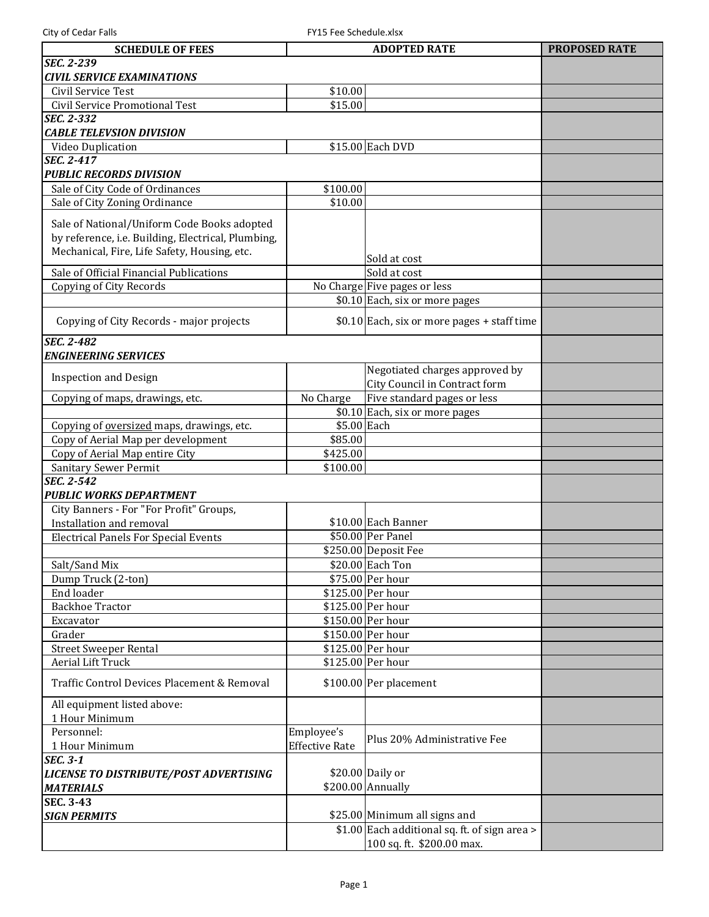| City of Cedar Falls<br>FY15 Fee Schedule.xlsx      |                       |                                                                             |                      |
|----------------------------------------------------|-----------------------|-----------------------------------------------------------------------------|----------------------|
| <b>SCHEDULE OF FEES</b>                            |                       | <b>ADOPTED RATE</b>                                                         | <b>PROPOSED RATE</b> |
| <b>SEC. 2-239</b>                                  |                       |                                                                             |                      |
| <b>CIVIL SERVICE EXAMINATIONS</b>                  |                       |                                                                             |                      |
| Civil Service Test                                 | \$10.00               |                                                                             |                      |
| Civil Service Promotional Test                     | \$15.00               |                                                                             |                      |
| <b>SEC. 2-332</b>                                  |                       |                                                                             |                      |
| <b>CABLE TELEVSION DIVISION</b>                    |                       |                                                                             |                      |
| Video Duplication                                  |                       | \$15.00 Each DVD                                                            |                      |
| SEC. 2-417                                         |                       |                                                                             |                      |
| <b>PUBLIC RECORDS DIVISION</b>                     |                       |                                                                             |                      |
| Sale of City Code of Ordinances                    | \$100.00              |                                                                             |                      |
| Sale of City Zoning Ordinance                      | \$10.00               |                                                                             |                      |
|                                                    |                       |                                                                             |                      |
| Sale of National/Uniform Code Books adopted        |                       |                                                                             |                      |
| by reference, i.e. Building, Electrical, Plumbing, |                       |                                                                             |                      |
| Mechanical, Fire, Life Safety, Housing, etc.       |                       | Sold at cost                                                                |                      |
| Sale of Official Financial Publications            |                       | Sold at cost                                                                |                      |
| Copying of City Records                            |                       | No Charge Five pages or less                                                |                      |
|                                                    |                       | \$0.10 Each, six or more pages                                              |                      |
| Copying of City Records - major projects           |                       | $$0.10$ Each, six or more pages + staff time                                |                      |
| <b>SEC. 2-482</b>                                  |                       |                                                                             |                      |
| <b>ENGINEERING SERVICES</b>                        |                       |                                                                             |                      |
|                                                    |                       | Negotiated charges approved by                                              |                      |
| <b>Inspection and Design</b>                       |                       | City Council in Contract form                                               |                      |
| Copying of maps, drawings, etc.                    | No Charge             | Five standard pages or less                                                 |                      |
|                                                    |                       | \$0.10 Each, six or more pages                                              |                      |
| Copying of oversized maps, drawings, etc.          | \$5.00 Each           |                                                                             |                      |
| Copy of Aerial Map per development                 | \$85.00               |                                                                             |                      |
| Copy of Aerial Map entire City                     | \$425.00              |                                                                             |                      |
| Sanitary Sewer Permit                              | \$100.00              |                                                                             |                      |
| <b>SEC. 2-542</b>                                  |                       |                                                                             |                      |
| <b>PUBLIC WORKS DEPARTMENT</b>                     |                       |                                                                             |                      |
| City Banners - For "For Profit" Groups,            |                       |                                                                             |                      |
| Installation and removal                           |                       | \$10.00 Each Banner                                                         |                      |
| <b>Electrical Panels For Special Events</b>        |                       | \$50.00 Per Panel                                                           |                      |
|                                                    |                       | \$250.00 Deposit Fee                                                        |                      |
| Salt/Sand Mix                                      |                       | \$20.00 Each Ton                                                            |                      |
| Dump Truck (2-ton)                                 |                       | \$75.00 Per hour                                                            |                      |
| End loader                                         |                       | \$125.00 Per hour                                                           |                      |
| <b>Backhoe Tractor</b>                             |                       | \$125.00 Per hour                                                           |                      |
| Excavator                                          |                       | \$150.00 Per hour                                                           |                      |
| Grader                                             |                       | \$150.00 Per hour                                                           |                      |
| <b>Street Sweeper Rental</b>                       |                       | \$125.00 Per hour                                                           |                      |
| <b>Aerial Lift Truck</b>                           |                       | \$125.00 Per hour                                                           |                      |
| Traffic Control Devices Placement & Removal        |                       | \$100.00 Per placement                                                      |                      |
| All equipment listed above:<br>1 Hour Minimum      |                       |                                                                             |                      |
| Personnel:                                         | Employee's            |                                                                             |                      |
| 1 Hour Minimum                                     | <b>Effective Rate</b> | Plus 20% Administrative Fee                                                 |                      |
| <b>SEC. 3-1</b>                                    |                       |                                                                             |                      |
| LICENSE TO DISTRIBUTE/POST ADVERTISING             |                       | \$20.00 Daily or                                                            |                      |
| <b>MATERIALS</b>                                   |                       | \$200.00 Annually                                                           |                      |
| <b>SEC. 3-43</b>                                   |                       |                                                                             |                      |
| <b>SIGN PERMITS</b>                                |                       | \$25.00 Minimum all signs and                                               |                      |
|                                                    |                       | $$1.00$ Each additional sq. ft. of sign area ><br>100 sq. ft. \$200.00 max. |                      |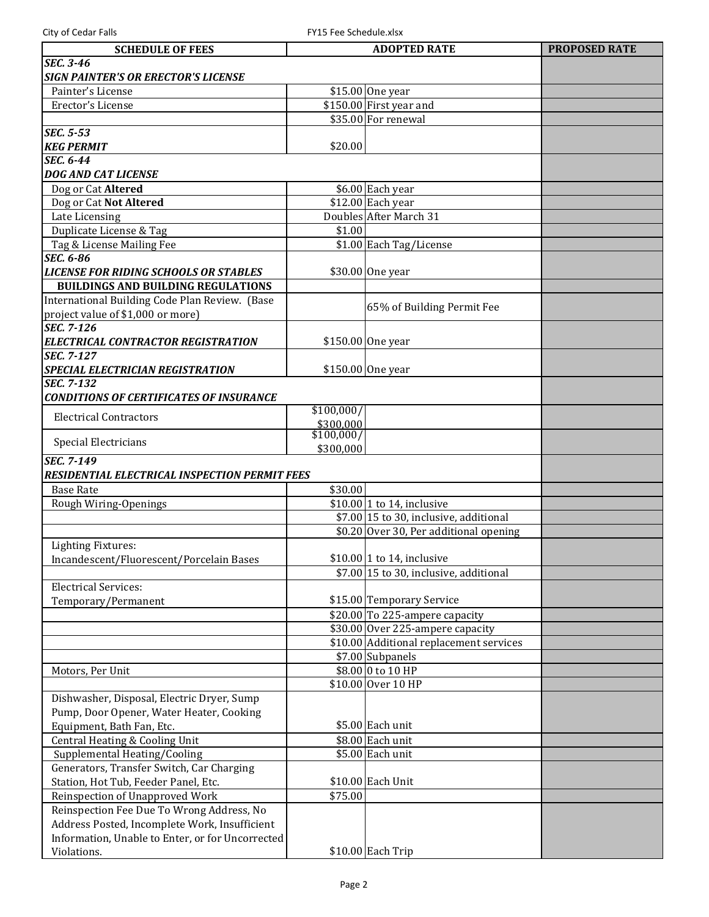| <b>SCHEDULE OF FEES</b>                                                   |            | <b>ADOPTED RATE</b>                     | <b>PROPOSED RATE</b> |
|---------------------------------------------------------------------------|------------|-----------------------------------------|----------------------|
| <b>SEC. 3-46</b>                                                          |            |                                         |                      |
| <b>SIGN PAINTER'S OR ERECTOR'S LICENSE</b>                                |            |                                         |                      |
| Painter's License                                                         |            | \$15.00 One year                        |                      |
| Erector's License                                                         |            | $$150.00$ First year and                |                      |
|                                                                           |            | \$35.00 For renewal                     |                      |
| <b>SEC. 5-53</b>                                                          |            |                                         |                      |
| <b>KEG PERMIT</b>                                                         | \$20.00    |                                         |                      |
| <b>SEC. 6-44</b>                                                          |            |                                         |                      |
| <b>DOG AND CAT LICENSE</b>                                                |            |                                         |                      |
| Dog or Cat Altered                                                        |            | \$6.00 Each year                        |                      |
| Dog or Cat Not Altered                                                    |            | $$12.00$ Each year                      |                      |
| Late Licensing                                                            |            | Doubles After March 31                  |                      |
| Duplicate License & Tag                                                   | \$1.00     |                                         |                      |
| Tag & License Mailing Fee                                                 |            | \$1.00 Each Tag/License                 |                      |
| <b>SEC. 6-86</b>                                                          |            |                                         |                      |
| <b>LICENSE FOR RIDING SCHOOLS OR STABLES</b>                              |            | \$30.00 One year                        |                      |
| <b>BUILDINGS AND BUILDING REGULATIONS</b>                                 |            |                                         |                      |
| International Building Code Plan Review. (Base                            |            | 65% of Building Permit Fee              |                      |
| project value of \$1,000 or more)                                         |            |                                         |                      |
| <b>SEC. 7-126</b>                                                         |            |                                         |                      |
| ELECTRICAL CONTRACTOR REGISTRATION                                        |            | \$150.00 One year                       |                      |
| <b>SEC. 7-127</b>                                                         |            |                                         |                      |
| SPECIAL ELECTRICIAN REGISTRATION                                          |            | \$150.00 One year                       |                      |
| <b>SEC. 7-132</b>                                                         |            |                                         |                      |
| <b>CONDITIONS OF CERTIFICATES OF INSURANCE</b>                            | \$100,000/ |                                         |                      |
| <b>Electrical Contractors</b>                                             | \$300,000  |                                         |                      |
|                                                                           | \$100,000/ |                                         |                      |
| Special Electricians                                                      | \$300,000  |                                         |                      |
| <b>SEC. 7-149</b>                                                         |            |                                         |                      |
| RESIDENTIAL ELECTRICAL INSPECTION PERMIT FEES                             |            |                                         |                      |
| <b>Base Rate</b>                                                          | \$30.00    |                                         |                      |
| Rough Wiring-Openings                                                     |            | $$10.00 1$ to 14, inclusive             |                      |
|                                                                           |            | \$7.00 15 to 30, inclusive, additional  |                      |
|                                                                           |            | \$0.20 Over 30, Per additional opening  |                      |
| <b>Lighting Fixtures:</b>                                                 |            |                                         |                      |
| Incandescent/Fluorescent/Porcelain Bases                                  |            | $$10.00 1$ to 14, inclusive             |                      |
|                                                                           |            | \$7.00 15 to 30, inclusive, additional  |                      |
| <b>Electrical Services:</b>                                               |            |                                         |                      |
| Temporary/Permanent                                                       |            | \$15.00 Temporary Service               |                      |
|                                                                           |            | $$20.00$ To 225-ampere capacity         |                      |
|                                                                           |            | $$30.00$ Over 225-ampere capacity       |                      |
|                                                                           |            | \$10.00 Additional replacement services |                      |
|                                                                           |            | \$7.00 Subpanels                        |                      |
| Motors, Per Unit                                                          |            | \$8.00 0 to 10 HP                       |                      |
|                                                                           |            | \$10.00 Over 10 HP                      |                      |
| Dishwasher, Disposal, Electric Dryer, Sump                                |            |                                         |                      |
| Pump, Door Opener, Water Heater, Cooking                                  |            |                                         |                      |
| Equipment, Bath Fan, Etc.                                                 |            | \$5.00 Each unit                        |                      |
| Central Heating & Cooling Unit                                            |            | \$8.00 Each unit                        |                      |
| Supplemental Heating/Cooling<br>Generators, Transfer Switch, Car Charging |            | \$5.00 Each unit                        |                      |
|                                                                           |            | \$10.00 Each Unit                       |                      |
| Station, Hot Tub, Feeder Panel, Etc.<br>Reinspection of Unapproved Work   | \$75.00    |                                         |                      |
| Reinspection Fee Due To Wrong Address, No                                 |            |                                         |                      |
| Address Posted, Incomplete Work, Insufficient                             |            |                                         |                      |
| Information, Unable to Enter, or for Uncorrected                          |            |                                         |                      |
| Violations.                                                               |            | $$10.00$ Each Trip                      |                      |
|                                                                           |            |                                         |                      |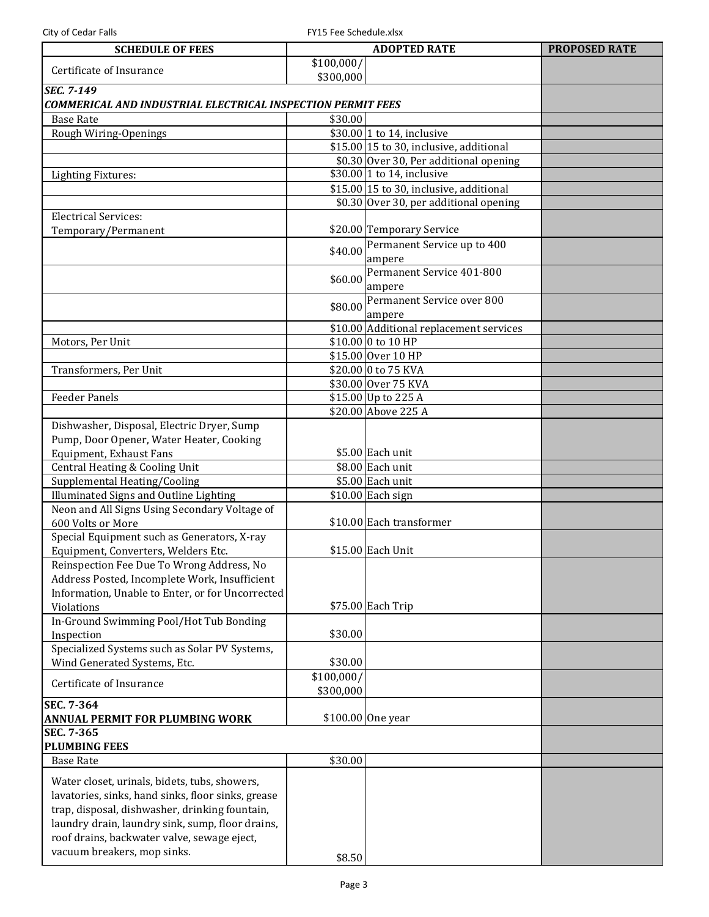L

City of Cedar Falls FRIS Fee Schedule.xlsx

| <b>SCHEDULE OF FEES</b>                                            |                         | <b>ADOPTED RATE</b>                      | <b>PROPOSED RATE</b> |
|--------------------------------------------------------------------|-------------------------|------------------------------------------|----------------------|
| Certificate of Insurance                                           | \$100,000/<br>\$300,000 |                                          |                      |
| <b>SEC. 7-149</b>                                                  |                         |                                          |                      |
| <b>COMMERICAL AND INDUSTRIAL ELECTRICAL INSPECTION PERMIT FEES</b> |                         |                                          |                      |
| <b>Base Rate</b>                                                   | \$30.00                 |                                          |                      |
| Rough Wiring-Openings                                              |                         | $$30.00$ 1 to 14, inclusive              |                      |
|                                                                    |                         | $$15.00 15$ to 30, inclusive, additional |                      |
|                                                                    |                         | \$0.30 Over 30, Per additional opening   |                      |
| <b>Lighting Fixtures:</b>                                          |                         | \$30.00 1 to 14, inclusive               |                      |
|                                                                    |                         | $$15.00$ 15 to 30, inclusive, additional |                      |
|                                                                    |                         | \$0.30 Over 30, per additional opening   |                      |
| <b>Electrical Services:</b>                                        |                         |                                          |                      |
| Temporary/Permanent                                                |                         | \$20.00 Temporary Service                |                      |
|                                                                    |                         | $$40.00$ Permanent Service up to $400$   |                      |
|                                                                    |                         | ampere                                   |                      |
|                                                                    |                         | Permanent Service 401-800                |                      |
|                                                                    | \$60.00                 | ampere                                   |                      |
|                                                                    |                         | Permanent Service over 800               |                      |
|                                                                    | \$80.00                 | ampere                                   |                      |
|                                                                    |                         | \$10.00 Additional replacement services  |                      |
| Motors, Per Unit                                                   |                         | \$10.00 0 to 10 HP                       |                      |
|                                                                    |                         | \$15.00 Over 10 HP                       |                      |
| Transformers, Per Unit                                             |                         | \$20.00 0 to 75 KVA                      |                      |
|                                                                    |                         | \$30.00 Over 75 KVA                      |                      |
| <b>Feeder Panels</b>                                               |                         | \$15.00 Up to 225 A                      |                      |
|                                                                    |                         | \$20.00 Above 225 A                      |                      |
| Dishwasher, Disposal, Electric Dryer, Sump                         |                         |                                          |                      |
| Pump, Door Opener, Water Heater, Cooking                           |                         |                                          |                      |
| Equipment, Exhaust Fans                                            |                         | $$5.00$ Each unit                        |                      |
|                                                                    |                         |                                          |                      |
| Central Heating & Cooling Unit                                     |                         | \$8.00 Each unit                         |                      |
| Supplemental Heating/Cooling                                       |                         | \$5.00 Each unit                         |                      |
| Illuminated Signs and Outline Lighting                             |                         | $\overline{$10.00}$ Each sign            |                      |
| Neon and All Signs Using Secondary Voltage of                      |                         |                                          |                      |
| 600 Volts or More                                                  |                         | \$10.00 Each transformer                 |                      |
| Special Equipment such as Generators, X-ray                        |                         |                                          |                      |
| Equipment, Converters, Welders Etc.                                |                         | \$15.00 Each Unit                        |                      |
| Reinspection Fee Due To Wrong Address, No                          |                         |                                          |                      |
| Address Posted, Incomplete Work, Insufficient                      |                         |                                          |                      |
| Information, Unable to Enter, or for Uncorrected                   |                         |                                          |                      |
| Violations                                                         |                         | \$75.00 Each Trip                        |                      |
| In-Ground Swimming Pool/Hot Tub Bonding                            |                         |                                          |                      |
| Inspection                                                         | \$30.00                 |                                          |                      |
| Specialized Systems such as Solar PV Systems,                      |                         |                                          |                      |
| Wind Generated Systems, Etc.                                       | \$30.00                 |                                          |                      |
| Certificate of Insurance                                           | \$100,000/              |                                          |                      |
|                                                                    | \$300,000               |                                          |                      |
| SEC. 7-364                                                         |                         |                                          |                      |
| <b>ANNUAL PERMIT FOR PLUMBING WORK</b>                             |                         | \$100.00 One year                        |                      |
| SEC. 7-365                                                         |                         |                                          |                      |
| <b>PLUMBING FEES</b>                                               |                         |                                          |                      |
| <b>Base Rate</b>                                                   | \$30.00                 |                                          |                      |
| Water closet, urinals, bidets, tubs, showers,                      |                         |                                          |                      |
|                                                                    |                         |                                          |                      |
| lavatories, sinks, hand sinks, floor sinks, grease                 |                         |                                          |                      |
| trap, disposal, dishwasher, drinking fountain,                     |                         |                                          |                      |
| laundry drain, laundry sink, sump, floor drains,                   |                         |                                          |                      |
| roof drains, backwater valve, sewage eject,                        |                         |                                          |                      |
| vacuum breakers, mop sinks.                                        | \$8.50                  |                                          |                      |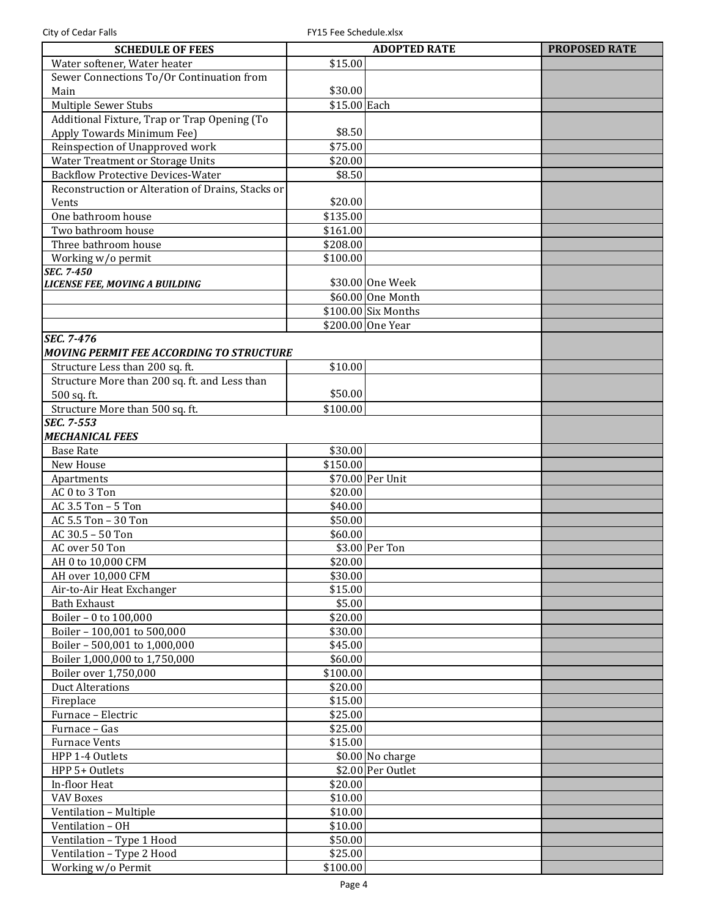| <b>SCHEDULE OF FEES</b>                           |                      | <b>ADOPTED RATE</b> | <b>PROPOSED RATE</b> |
|---------------------------------------------------|----------------------|---------------------|----------------------|
| Water softener, Water heater                      | \$15.00              |                     |                      |
| Sewer Connections To/Or Continuation from         |                      |                     |                      |
| Main                                              | \$30.00              |                     |                      |
| <b>Multiple Sewer Stubs</b>                       | \$15.00 Each         |                     |                      |
| Additional Fixture, Trap or Trap Opening (To      |                      |                     |                      |
| Apply Towards Minimum Fee)                        | \$8.50               |                     |                      |
| Reinspection of Unapproved work                   | \$75.00              |                     |                      |
|                                                   |                      |                     |                      |
| Water Treatment or Storage Units                  | \$20.00              |                     |                      |
| <b>Backflow Protective Devices-Water</b>          | \$8.50               |                     |                      |
| Reconstruction or Alteration of Drains, Stacks or |                      |                     |                      |
| Vents                                             | \$20.00              |                     |                      |
| One bathroom house                                | \$135.00             |                     |                      |
| Two bathroom house                                | \$161.00             |                     |                      |
| Three bathroom house                              | \$208.00             |                     |                      |
| Working w/o permit                                | \$100.00             |                     |                      |
| <b>SEC. 7-450</b>                                 |                      |                     |                      |
| LICENSE FEE, MOVING A BUILDING                    | \$30.00 One Week     |                     |                      |
|                                                   | \$60.00 One Month    |                     |                      |
|                                                   | $$100.00$ Six Months |                     |                      |
|                                                   | \$200.00 One Year    |                     |                      |
| <b>SEC. 7-476</b>                                 |                      |                     |                      |
| <b>MOVING PERMIT FEE ACCORDING TO STRUCTURE</b>   |                      |                     |                      |
| Structure Less than 200 sq. ft.                   | \$10.00              |                     |                      |
| Structure More than 200 sq. ft. and Less than     |                      |                     |                      |
|                                                   | \$50.00              |                     |                      |
| 500 sq. ft.                                       |                      |                     |                      |
| Structure More than 500 sq. ft.                   | \$100.00             |                     |                      |
| <b>SEC. 7-553</b>                                 |                      |                     |                      |
| <b>MECHANICAL FEES</b>                            |                      |                     |                      |
| <b>Base Rate</b>                                  | \$30.00              |                     |                      |
| New House                                         | \$150.00             |                     |                      |
| Apartments                                        | \$70.00 Per Unit     |                     |                      |
| AC 0 to 3 Ton                                     | \$20.00              |                     |                      |
| AC 3.5 Ton - 5 Ton                                | \$40.00              |                     |                      |
| AC 5.5 Ton - 30 Ton                               | \$50.00              |                     |                      |
| AC 30.5 - 50 Ton                                  | \$60.00              |                     |                      |
| AC over 50 Ton                                    | \$3.00 Per Ton       |                     |                      |
| AH 0 to 10,000 CFM                                | \$20.00              |                     |                      |
| AH over 10,000 CFM                                | \$30.00              |                     |                      |
| Air-to-Air Heat Exchanger                         | \$15.00              |                     |                      |
| <b>Bath Exhaust</b>                               |                      |                     |                      |
|                                                   | \$5.00               |                     |                      |
| Boiler - 0 to 100,000                             | \$20.00              |                     |                      |
| Boiler - 100,001 to 500,000                       | \$30.00              |                     |                      |
| Boiler - 500,001 to 1,000,000                     | \$45.00              |                     |                      |
| Boiler 1,000,000 to 1,750,000                     | \$60.00              |                     |                      |
| Boiler over 1,750,000                             | \$100.00             |                     |                      |
| <b>Duct Alterations</b>                           | \$20.00              |                     |                      |
| Fireplace                                         | \$15.00              |                     |                      |
| Furnace - Electric                                | \$25.00              |                     |                      |
| Furnace - Gas                                     | \$25.00              |                     |                      |
| <b>Furnace Vents</b>                              | \$15.00              |                     |                      |
| HPP 1-4 Outlets                                   |                      | \$0.00 No charge    |                      |
| HPP 5+ Outlets                                    |                      | \$2.00 Per Outlet   |                      |
| In-floor Heat                                     | \$20.00              |                     |                      |
|                                                   |                      |                     |                      |
| <b>VAV Boxes</b>                                  | \$10.00              |                     |                      |
| Ventilation - Multiple                            | \$10.00              |                     |                      |
| Ventilation - OH                                  | \$10.00              |                     |                      |
| Ventilation - Type 1 Hood                         | \$50.00              |                     |                      |
| Ventilation - Type 2 Hood                         | \$25.00              |                     |                      |
| Working w/o Permit                                | \$100.00             |                     |                      |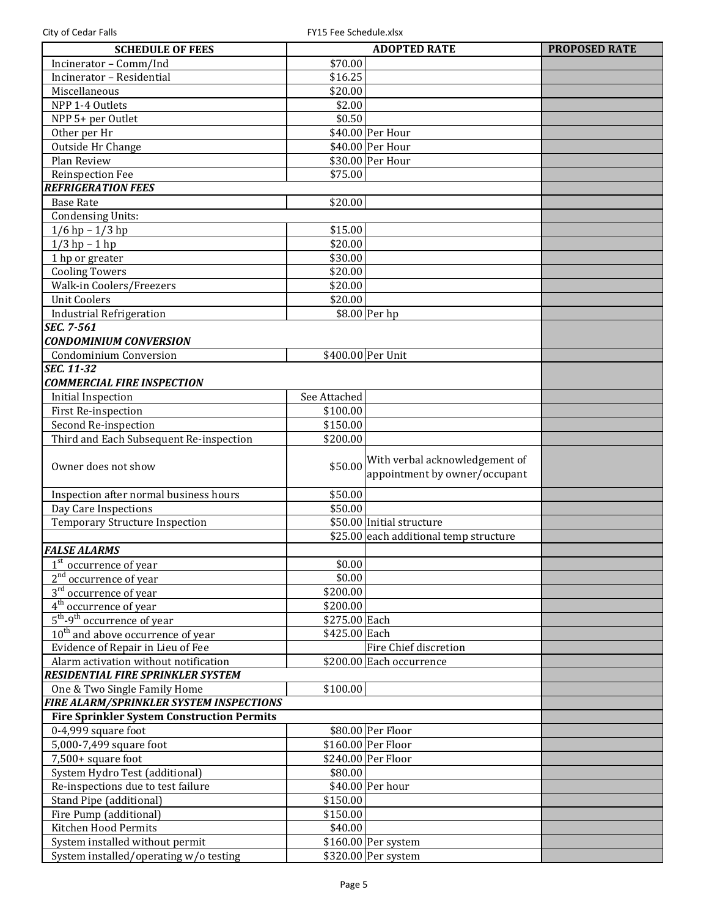| <b>SCHEDULE OF FEES</b>                           |                      | <b>ADOPTED RATE</b>                                             | <b>PROPOSED RATE</b> |
|---------------------------------------------------|----------------------|-----------------------------------------------------------------|----------------------|
| Incinerator - Comm/Ind                            | \$70.00              |                                                                 |                      |
| Incinerator - Residential                         | \$16.25              |                                                                 |                      |
| Miscellaneous                                     | \$20.00              |                                                                 |                      |
| NPP 1-4 Outlets                                   | \$2.00               |                                                                 |                      |
| NPP 5+ per Outlet                                 | \$0.50               |                                                                 |                      |
| Other per Hr                                      |                      | \$40.00 Per Hour                                                |                      |
| Outside Hr Change                                 |                      | \$40.00 Per Hour                                                |                      |
| Plan Review                                       |                      | \$30.00 Per Hour                                                |                      |
| Reinspection Fee                                  | \$75.00              |                                                                 |                      |
| <b>REFRIGERATION FEES</b>                         |                      |                                                                 |                      |
| <b>Base Rate</b>                                  | \$20.00              |                                                                 |                      |
| <b>Condensing Units:</b>                          |                      |                                                                 |                      |
| $1/6$ hp $-1/3$ hp                                | \$15.00              |                                                                 |                      |
| $1/3$ hp $-1$ hp                                  | \$20.00              |                                                                 |                      |
| 1 hp or greater                                   | \$30.00              |                                                                 |                      |
| <b>Cooling Towers</b>                             | \$20.00              |                                                                 |                      |
| Walk-in Coolers/Freezers                          | \$20.00              |                                                                 |                      |
| <b>Unit Coolers</b>                               | \$20.00              |                                                                 |                      |
| <b>Industrial Refrigeration</b>                   |                      | \$8.00 Per hp                                                   |                      |
| SEC. 7-561                                        |                      |                                                                 |                      |
| <b>CONDOMINIUM CONVERSION</b>                     |                      |                                                                 |                      |
| Condominium Conversion                            |                      | \$400.00 Per Unit                                               |                      |
| $\overline{SEC. 11-32}$                           |                      |                                                                 |                      |
| <b>COMMERCIAL FIRE INSPECTION</b>                 |                      |                                                                 |                      |
| <b>Initial Inspection</b>                         | See Attached         |                                                                 |                      |
| First Re-inspection                               | \$100.00             |                                                                 |                      |
| Second Re-inspection                              | \$150.00             |                                                                 |                      |
| Third and Each Subsequent Re-inspection           | \$200.00             |                                                                 |                      |
|                                                   |                      |                                                                 |                      |
| Owner does not show                               | \$50.00              | With verbal acknowledgement of<br>appointment by owner/occupant |                      |
| Inspection after normal business hours            | \$50.00              |                                                                 |                      |
| Day Care Inspections                              | \$50.00              |                                                                 |                      |
| <b>Temporary Structure Inspection</b>             |                      | \$50.00 Initial structure                                       |                      |
|                                                   |                      | \$25.00 each additional temp structure                          |                      |
| <b>FALSE ALARMS</b>                               |                      |                                                                 |                      |
| 1 <sup>st</sup> occurrence of year                | \$0.00               |                                                                 |                      |
| 2 <sup>nd</sup> occurrence of year                | \$0.00               |                                                                 |                      |
| $3rd$ occurrence of year                          | $\overline{$}200.00$ |                                                                 |                      |
| $4th$ occurrence of year                          | \$200.00             |                                                                 |                      |
| $5th$ -9 <sup>th</sup> occurrence of year         | \$275.00 Each        |                                                                 |                      |
| $10th$ and above occurrence of year               | \$425.00 Each        |                                                                 |                      |
| Evidence of Repair in Lieu of Fee                 |                      | Fire Chief discretion                                           |                      |
| Alarm activation without notification             |                      | \$200.00 Each occurrence                                        |                      |
| <b>RESIDENTIAL FIRE SPRINKLER SYSTEM</b>          |                      |                                                                 |                      |
| One & Two Single Family Home                      | \$100.00             |                                                                 |                      |
| <b>FIRE ALARM/SPRINKLER SYSTEM INSPECTIONS</b>    |                      |                                                                 |                      |
| <b>Fire Sprinkler System Construction Permits</b> |                      |                                                                 |                      |
| 0-4,999 square foot                               |                      | \$80.00 Per Floor                                               |                      |
| 5,000-7,499 square foot                           |                      | \$160.00 Per Floor                                              |                      |
| 7,500+ square foot                                |                      | \$240.00 Per Floor                                              |                      |
| System Hydro Test (additional)                    | \$80.00              |                                                                 |                      |
| Re-inspections due to test failure                |                      | \$40.00 Per hour                                                |                      |
|                                                   | \$150.00             |                                                                 |                      |
| Stand Pipe (additional)                           |                      |                                                                 |                      |
| Fire Pump (additional)                            | \$150.00             |                                                                 |                      |
| Kitchen Hood Permits                              | \$40.00              |                                                                 |                      |
| System installed without permit                   |                      | $$160.00$ Per system                                            |                      |
| System installed/operating w/o testing            |                      | \$320.00 Per system                                             |                      |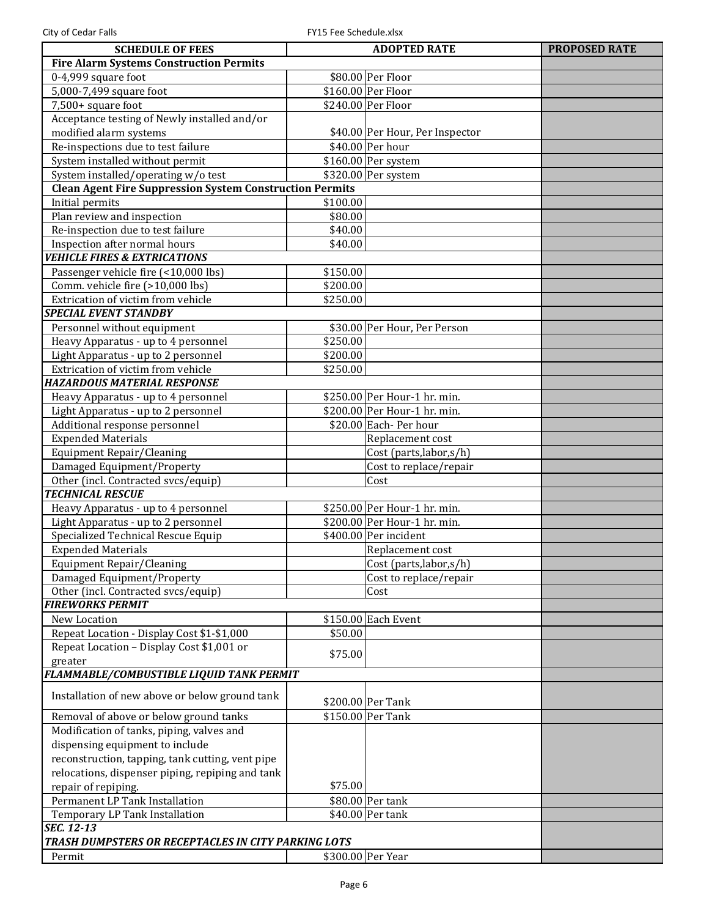| <b>SCHEDULE OF FEES</b>                                                | <b>ADOPTED RATE</b> |                                                        |  |  |
|------------------------------------------------------------------------|---------------------|--------------------------------------------------------|--|--|
| <b>PROPOSED RATE</b><br><b>Fire Alarm Systems Construction Permits</b> |                     |                                                        |  |  |
| 0-4,999 square foot                                                    |                     | \$80.00 Per Floor                                      |  |  |
| 5,000-7,499 square foot                                                |                     | \$160.00 Per Floor                                     |  |  |
| 7,500+ square foot                                                     |                     | \$240.00 Per Floor                                     |  |  |
| Acceptance testing of Newly installed and/or                           |                     |                                                        |  |  |
| modified alarm systems                                                 |                     | \$40.00 Per Hour, Per Inspector                        |  |  |
| Re-inspections due to test failure                                     |                     | \$40.00 Per hour                                       |  |  |
| System installed without permit                                        |                     | \$160.00 Per system                                    |  |  |
| System installed/operating w/o test                                    |                     | \$320.00 Per system                                    |  |  |
| <b>Clean Agent Fire Suppression System Construction Permits</b>        |                     |                                                        |  |  |
| Initial permits                                                        | \$100.00            |                                                        |  |  |
| Plan review and inspection                                             | \$80.00             |                                                        |  |  |
| Re-inspection due to test failure                                      | \$40.00             |                                                        |  |  |
| Inspection after normal hours                                          | \$40.00             |                                                        |  |  |
| <b>VEHICLE FIRES &amp; EXTRICATIONS</b>                                |                     |                                                        |  |  |
| Passenger vehicle fire (<10,000 lbs)                                   | \$150.00            |                                                        |  |  |
| Comm. vehicle fire (>10,000 lbs)                                       | \$200.00            |                                                        |  |  |
| Extrication of victim from vehicle                                     | \$250.00            |                                                        |  |  |
| <b>SPECIAL EVENT STANDBY</b>                                           |                     |                                                        |  |  |
| Personnel without equipment                                            |                     | \$30.00 Per Hour, Per Person                           |  |  |
| Heavy Apparatus - up to 4 personnel                                    | \$250.00            |                                                        |  |  |
| Light Apparatus - up to 2 personnel                                    | \$200.00            |                                                        |  |  |
| Extrication of victim from vehicle                                     | \$250.00            |                                                        |  |  |
| <b>HAZARDOUS MATERIAL RESPONSE</b>                                     |                     |                                                        |  |  |
| Heavy Apparatus - up to 4 personnel                                    |                     | \$250.00 Per Hour-1 hr. min.                           |  |  |
| Light Apparatus - up to 2 personnel                                    |                     | \$200.00 Per Hour-1 hr. min.                           |  |  |
| Additional response personnel                                          |                     | \$20.00 Each-Per hour                                  |  |  |
| <b>Expended Materials</b>                                              |                     | Replacement cost                                       |  |  |
| Equipment Repair/Cleaning                                              |                     | Cost (parts, labor, s/h)                               |  |  |
| Damaged Equipment/Property                                             |                     | Cost to replace/repair                                 |  |  |
| Other (incl. Contracted svcs/equip)                                    |                     | Cost                                                   |  |  |
| <b>TECHNICAL RESCUE</b>                                                |                     |                                                        |  |  |
| Heavy Apparatus - up to 4 personnel                                    |                     | \$250.00 Per Hour-1 hr. min.                           |  |  |
| Light Apparatus - up to 2 personnel                                    |                     | $$200.00$ Per Hour-1 hr. min.<br>\$400.00 Per incident |  |  |
| Specialized Technical Rescue Equip                                     |                     |                                                        |  |  |
| <b>Expended Materials</b>                                              |                     | Replacement cost                                       |  |  |
| Equipment Repair/Cleaning                                              |                     | Cost (parts, labor, s/h)                               |  |  |
| Damaged Equipment/Property<br>Other (incl. Contracted svcs/equip)      |                     | Cost to replace/repair                                 |  |  |
| <b>FIREWORKS PERMIT</b>                                                |                     | Cost                                                   |  |  |
| New Location                                                           |                     | \$150.00 Each Event                                    |  |  |
| Repeat Location - Display Cost \$1-\$1,000                             | \$50.00             |                                                        |  |  |
| Repeat Location - Display Cost \$1,001 or                              |                     |                                                        |  |  |
| greater                                                                | \$75.00             |                                                        |  |  |
| FLAMMABLE/COMBUSTIBLE LIQUID TANK PERMIT                               |                     |                                                        |  |  |
|                                                                        |                     |                                                        |  |  |
| Installation of new above or below ground tank                         |                     | \$200.00 Per Tank                                      |  |  |
| Removal of above or below ground tanks                                 |                     | \$150.00 Per Tank                                      |  |  |
| Modification of tanks, piping, valves and                              |                     |                                                        |  |  |
| dispensing equipment to include                                        |                     |                                                        |  |  |
| reconstruction, tapping, tank cutting, vent pipe                       |                     |                                                        |  |  |
| relocations, dispenser piping, repiping and tank                       |                     |                                                        |  |  |
| repair of repiping.                                                    | \$75.00             |                                                        |  |  |
| Permanent LP Tank Installation                                         |                     | \$80.00 Per tank                                       |  |  |
| Temporary LP Tank Installation                                         |                     | \$40.00 Per tank                                       |  |  |
| SEC. 12-13                                                             |                     |                                                        |  |  |
| TRASH DUMPSTERS OR RECEPTACLES IN CITY PARKING LOTS                    |                     |                                                        |  |  |
| Permit                                                                 |                     | \$300.00 Per Year                                      |  |  |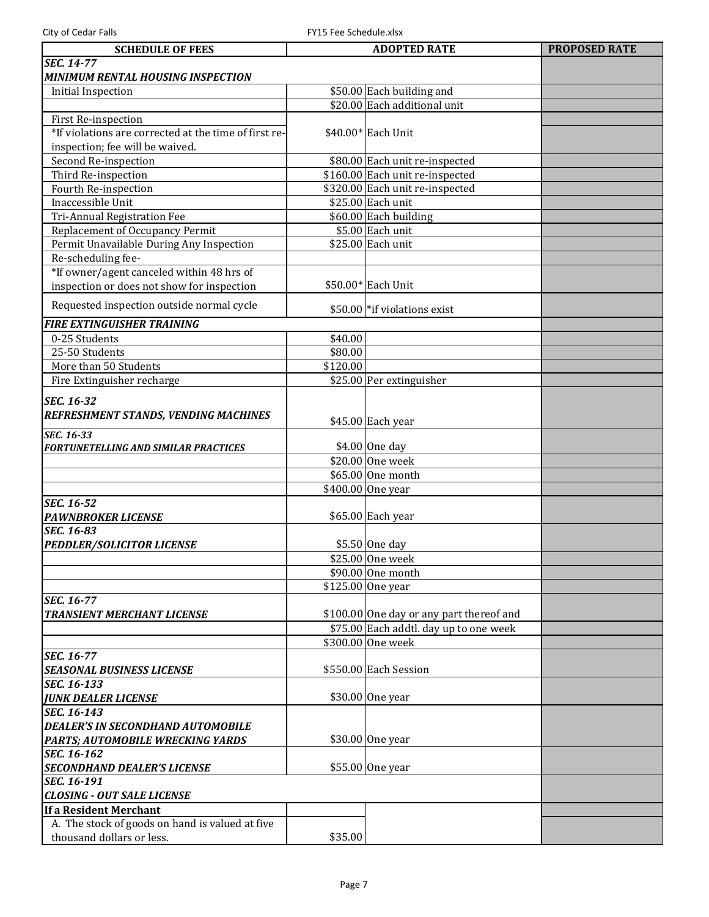| <b>SCHEDULE OF FEES</b>                               |          | <b>ADOPTED RATE</b>                                         | <b>PROPOSED RATE</b> |
|-------------------------------------------------------|----------|-------------------------------------------------------------|----------------------|
| <b>SEC. 14-77</b>                                     |          |                                                             |                      |
| MINIMUM RENTAL HOUSING INSPECTION                     |          |                                                             |                      |
| <b>Initial Inspection</b>                             |          | \$50.00 Each building and                                   |                      |
|                                                       |          | \$20.00 Each additional unit                                |                      |
| First Re-inspection                                   |          |                                                             |                      |
| *If violations are corrected at the time of first re- |          | \$40.00* Each Unit                                          |                      |
| inspection; fee will be waived.                       |          |                                                             |                      |
| Second Re-inspection                                  |          | \$80.00 Each unit re-inspected                              |                      |
| Third Re-inspection                                   |          | \$160.00 Each unit re-inspected                             |                      |
| Fourth Re-inspection                                  |          | \$320.00 Each unit re-inspected                             |                      |
| Inaccessible Unit                                     |          | \$25.00 Each unit                                           |                      |
| <b>Tri-Annual Registration Fee</b>                    |          | \$60.00 Each building                                       |                      |
| Replacement of Occupancy Permit                       |          | $$5.00$ Each unit                                           |                      |
| Permit Unavailable During Any Inspection              |          | \$25.00 Each unit                                           |                      |
| Re-scheduling fee-                                    |          |                                                             |                      |
| *If owner/agent canceled within 48 hrs of             |          |                                                             |                      |
| inspection or does not show for inspection            |          | \$50.00* Each Unit                                          |                      |
| Requested inspection outside normal cycle             |          | \$50.00 * if violations exist                               |                      |
| <b>FIRE EXTINGUISHER TRAINING</b>                     |          |                                                             |                      |
| 0-25 Students                                         | \$40.00  |                                                             |                      |
| 25-50 Students                                        | \$80.00  |                                                             |                      |
| More than 50 Students                                 | \$120.00 |                                                             |                      |
| Fire Extinguisher recharge                            |          | \$25.00 Per extinguisher                                    |                      |
| <b>SEC. 16-32</b>                                     |          |                                                             |                      |
| REFRESHMENT STANDS, VENDING MACHINES                  |          | \$45.00 Each year                                           |                      |
| <b>SEC. 16-33</b>                                     |          |                                                             |                      |
| <b>FORTUNETELLING AND SIMILAR PRACTICES</b>           |          | \$4.00 One day                                              |                      |
|                                                       |          | \$20.00 One week                                            |                      |
|                                                       |          | \$65.00 One month                                           |                      |
|                                                       |          | \$400.00 One year                                           |                      |
| SEC. 16-52                                            |          |                                                             |                      |
| <b>PAWNBROKER LICENSE</b>                             |          | \$65.00 Each year                                           |                      |
| SEC. 16-83                                            |          |                                                             |                      |
| <b>PEDDLER/SOLICITOR LICENSE</b>                      |          | \$5.50 One day                                              |                      |
|                                                       |          | \$25.00 One week                                            |                      |
|                                                       |          | \$90.00 One month                                           |                      |
|                                                       |          | \$125.00 One year                                           |                      |
| <b>SEC. 16-77</b>                                     |          |                                                             |                      |
| <b>TRANSIENT MERCHANT LICENSE</b>                     |          | \$100.00 One day or any part thereof and                    |                      |
|                                                       |          | \$75.00 Each addtl. day up to one week<br>\$300.00 One week |                      |
| <b>SEC. 16-77</b>                                     |          |                                                             |                      |
| <b>SEASONAL BUSINESS LICENSE</b>                      |          | \$550.00 Each Session                                       |                      |
| SEC. 16-133                                           |          |                                                             |                      |
| <b>JUNK DEALER LICENSE</b>                            |          | \$30.00 One year                                            |                      |
| SEC. 16-143                                           |          |                                                             |                      |
| <b>DEALER'S IN SECONDHAND AUTOMOBILE</b>              |          |                                                             |                      |
| PARTS; AUTOMOBILE WRECKING YARDS                      |          | \$30.00 One year                                            |                      |
| SEC. 16-162                                           |          |                                                             |                      |
| <b>SECONDHAND DEALER'S LICENSE</b>                    |          | \$55.00 One year                                            |                      |
| SEC. 16-191                                           |          |                                                             |                      |
| <b>CLOSING - OUT SALE LICENSE</b>                     |          |                                                             |                      |
| If a Resident Merchant                                |          |                                                             |                      |
| A. The stock of goods on hand is valued at five       |          |                                                             |                      |
| thousand dollars or less.                             | \$35.00  |                                                             |                      |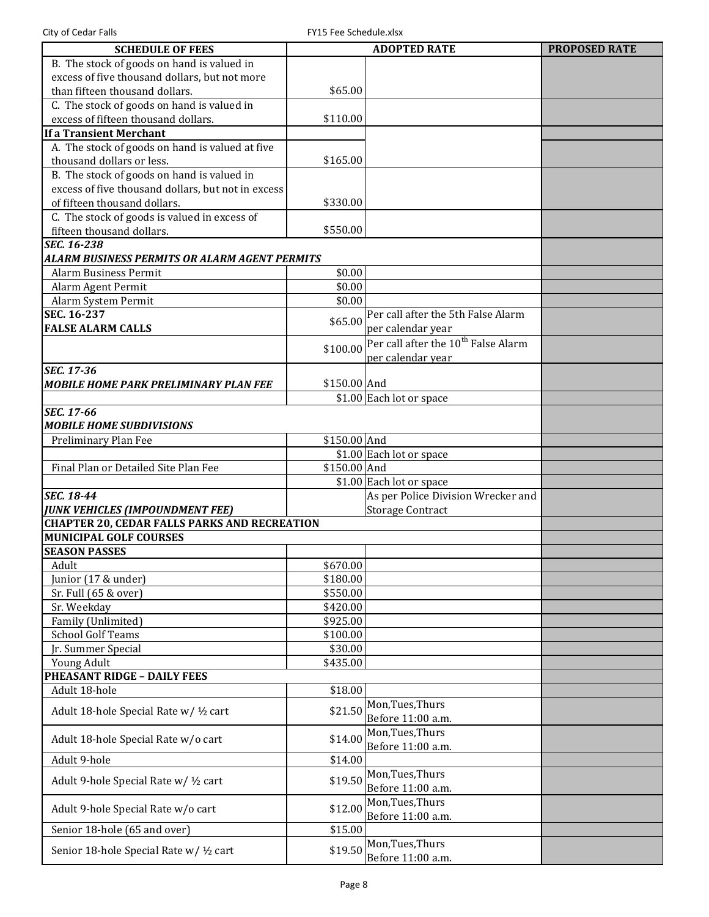| <b>SCHEDULE OF FEES</b>                                                              |              | <b>ADOPTED RATE</b>                             | <b>PROPOSED RATE</b> |
|--------------------------------------------------------------------------------------|--------------|-------------------------------------------------|----------------------|
| B. The stock of goods on hand is valued in                                           |              |                                                 |                      |
| excess of five thousand dollars, but not more                                        |              |                                                 |                      |
| than fifteen thousand dollars.                                                       | \$65.00      |                                                 |                      |
| C. The stock of goods on hand is valued in                                           |              |                                                 |                      |
| excess of fifteen thousand dollars.                                                  | \$110.00     |                                                 |                      |
| <b>If a Transient Merchant</b>                                                       |              |                                                 |                      |
| A. The stock of goods on hand is valued at five                                      |              |                                                 |                      |
| thousand dollars or less.                                                            | \$165.00     |                                                 |                      |
| B. The stock of goods on hand is valued in                                           |              |                                                 |                      |
| excess of five thousand dollars, but not in excess                                   |              |                                                 |                      |
| of fifteen thousand dollars.                                                         | \$330.00     |                                                 |                      |
| C. The stock of goods is valued in excess of                                         |              |                                                 |                      |
| fifteen thousand dollars.                                                            | \$550.00     |                                                 |                      |
| SEC. 16-238                                                                          |              |                                                 |                      |
| ALARM BUSINESS PERMITS OR ALARM AGENT PERMITS                                        |              |                                                 |                      |
| <b>Alarm Business Permit</b>                                                         | \$0.00       |                                                 |                      |
| Alarm Agent Permit                                                                   | \$0.00       |                                                 |                      |
| Alarm System Permit                                                                  | \$0.00       |                                                 |                      |
| SEC. 16-237                                                                          | \$65.00      | Per call after the 5th False Alarm              |                      |
| <b>FALSE ALARM CALLS</b>                                                             |              | per calendar year                               |                      |
|                                                                                      | \$100.00     | Per call after the 10 <sup>th</sup> False Alarm |                      |
|                                                                                      |              | per calendar year                               |                      |
| SEC. 17-36                                                                           |              |                                                 |                      |
| MOBILE HOME PARK PRELIMINARY PLAN FEE                                                | \$150.00 And |                                                 |                      |
|                                                                                      |              | \$1.00 Each lot or space                        |                      |
| SEC. 17-66                                                                           |              |                                                 |                      |
| <b>MOBILE HOME SUBDIVISIONS</b>                                                      |              |                                                 |                      |
| Preliminary Plan Fee                                                                 | \$150.00 And |                                                 |                      |
|                                                                                      |              | \$1.00 Each lot or space                        |                      |
| Final Plan or Detailed Site Plan Fee                                                 | \$150.00 And |                                                 |                      |
|                                                                                      |              | \$1.00 Each lot or space                        |                      |
| <b>SEC. 18-44</b>                                                                    |              | As per Police Division Wrecker and              |                      |
| <b>JUNK VEHICLES (IMPOUNDMENT FEE)</b>                                               |              | <b>Storage Contract</b>                         |                      |
| <b>CHAPTER 20, CEDAR FALLS PARKS AND RECREATION</b><br><b>MUNICIPAL GOLF COURSES</b> |              |                                                 |                      |
| <b>SEASON PASSES</b>                                                                 |              |                                                 |                      |
| Adult                                                                                | \$670.00     |                                                 |                      |
| Junior (17 & under)                                                                  | \$180.00     |                                                 |                      |
| Sr. Full (65 & over)                                                                 | \$550.00     |                                                 |                      |
| Sr. Weekday                                                                          | \$420.00     |                                                 |                      |
| Family (Unlimited)                                                                   | \$925.00     |                                                 |                      |
| <b>School Golf Teams</b>                                                             | \$100.00     |                                                 |                      |
| Ir. Summer Special                                                                   | \$30.00      |                                                 |                      |
| Young Adult                                                                          | \$435.00     |                                                 |                      |
| <b>PHEASANT RIDGE - DAILY FEES</b>                                                   |              |                                                 |                      |
| Adult 18-hole                                                                        | \$18.00      |                                                 |                      |
|                                                                                      |              | Mon, Tues, Thurs                                |                      |
| Adult 18-hole Special Rate w/ 1/2 cart                                               | \$21.50      | Before 11:00 a.m.                               |                      |
|                                                                                      |              | Mon, Tues, Thurs                                |                      |
| Adult 18-hole Special Rate w/o cart                                                  | \$14.00      | Before 11:00 a.m.                               |                      |
| Adult 9-hole                                                                         | \$14.00      |                                                 |                      |
|                                                                                      |              | Mon, Tues, Thurs                                |                      |
| Adult 9-hole Special Rate w/ 1/2 cart                                                | \$19.50      | Before 11:00 a.m.                               |                      |
|                                                                                      |              | Mon, Tues, Thurs                                |                      |
| Adult 9-hole Special Rate w/o cart                                                   | \$12.00      | Before 11:00 a.m.                               |                      |
| Senior 18-hole (65 and over)                                                         | \$15.00      |                                                 |                      |
|                                                                                      |              | Mon, Tues, Thurs                                |                      |
| Senior 18-hole Special Rate w/ 1/2 cart                                              | \$19.50      | Before 11:00 a.m.                               |                      |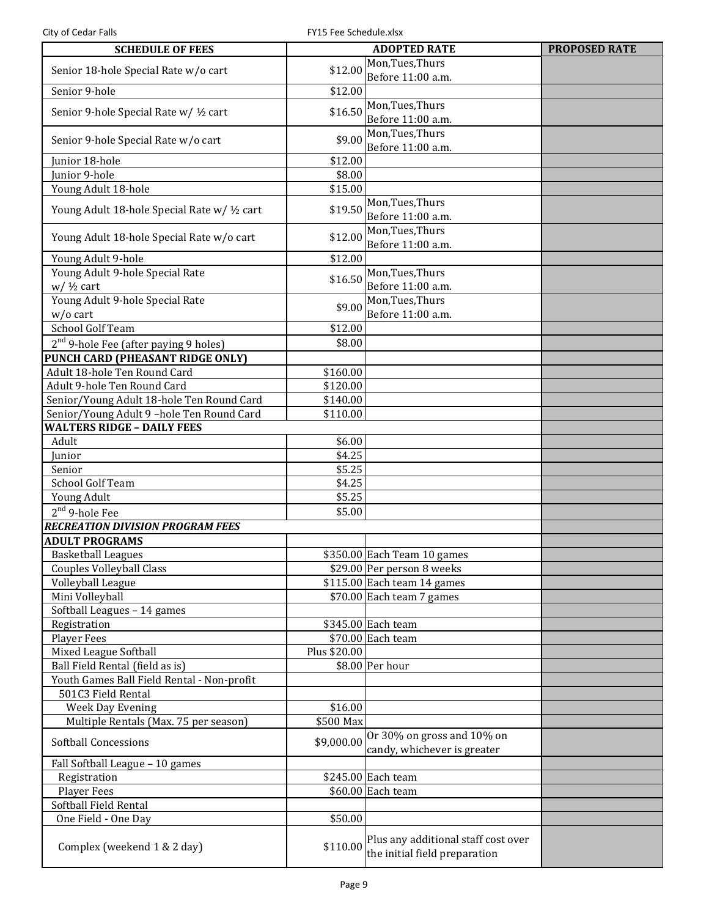City of Cedar Falls FRIS Fee Schedule.xlsx

| <b>SCHEDULE OF FEES</b>                                          |              | <b>ADOPTED RATE</b>                                                  | <b>PROPOSED RATE</b> |
|------------------------------------------------------------------|--------------|----------------------------------------------------------------------|----------------------|
| Senior 18-hole Special Rate w/o cart                             | \$12.00      | Mon, Tues, Thurs                                                     |                      |
| Senior 9-hole                                                    | \$12.00      | Before 11:00 a.m.                                                    |                      |
|                                                                  |              | Mon, Tues, Thurs                                                     |                      |
| Senior 9-hole Special Rate w/ 1/2 cart                           | \$16.50      | Before 11:00 a.m.                                                    |                      |
|                                                                  |              | Mon, Tues, Thurs                                                     |                      |
| Senior 9-hole Special Rate w/o cart                              | \$9.00       | Before 11:00 a.m.                                                    |                      |
| Junior 18-hole                                                   | \$12.00      |                                                                      |                      |
| Junior 9-hole                                                    | \$8.00       |                                                                      |                      |
| Young Adult 18-hole                                              | \$15.00      |                                                                      |                      |
|                                                                  |              | Mon, Tues, Thurs                                                     |                      |
| Young Adult 18-hole Special Rate w/ 1/2 cart                     | \$19.50      | Before 11:00 a.m.                                                    |                      |
|                                                                  |              | Mon, Tues, Thurs                                                     |                      |
| Young Adult 18-hole Special Rate w/o cart                        | \$12.00      | Before 11:00 a.m.                                                    |                      |
| Young Adult 9-hole                                               | \$12.00      |                                                                      |                      |
| Young Adult 9-hole Special Rate                                  | \$16.50      | Mon, Tues, Thurs                                                     |                      |
| $w/$ 1/2 cart                                                    |              | Before 11:00 a.m.                                                    |                      |
| Young Adult 9-hole Special Rate                                  | \$9.00       | Mon, Tues, Thurs                                                     |                      |
| $w/o$ cart                                                       |              | Before 11:00 a.m.                                                    |                      |
| School Golf Team                                                 | \$12.00      |                                                                      |                      |
| 2 <sup>nd</sup> 9-hole Fee (after paying 9 holes)                | \$8.00       |                                                                      |                      |
| PUNCH CARD (PHEASANT RIDGE ONLY)                                 |              |                                                                      |                      |
| Adult 18-hole Ten Round Card                                     | \$160.00     |                                                                      |                      |
| Adult 9-hole Ten Round Card                                      | \$120.00     |                                                                      |                      |
| Senior/Young Adult 18-hole Ten Round Card                        | \$140.00     |                                                                      |                      |
| Senior/Young Adult 9-hole Ten Round Card                         | \$110.00     |                                                                      |                      |
| <b>WALTERS RIDGE - DAILY FEES</b>                                |              |                                                                      |                      |
| Adult                                                            | \$6.00       |                                                                      |                      |
| Junior                                                           | \$4.25       |                                                                      |                      |
| Senior                                                           | \$5.25       |                                                                      |                      |
| School Golf Team                                                 | \$4.25       |                                                                      |                      |
| Young Adult                                                      | \$5.25       |                                                                      |                      |
| $2nd$ 9-hole Fee                                                 | \$5.00       |                                                                      |                      |
| <b>RECREATION DIVISION PROGRAM FEES</b>                          |              |                                                                      |                      |
| <b>ADULT PROGRAMS</b>                                            |              |                                                                      |                      |
| <b>Basketball Leagues</b>                                        |              | \$350.00 Each Team 10 games                                          |                      |
| <b>Couples Volleyball Class</b>                                  |              | \$29.00 Per person 8 weeks                                           |                      |
| Volleyball League                                                |              | $$115.00$ Each team 14 games                                         |                      |
| Mini Volleyball                                                  |              | \$70.00 Each team 7 games                                            |                      |
| Softball Leagues - 14 games                                      |              |                                                                      |                      |
| Registration                                                     |              | \$345.00 Each team                                                   |                      |
| <b>Player Fees</b>                                               |              | \$70.00 Each team                                                    |                      |
| Mixed League Softball                                            | Plus \$20.00 |                                                                      |                      |
| Ball Field Rental (field as is)                                  |              | \$8.00 Per hour                                                      |                      |
| Youth Games Ball Field Rental - Non-profit<br>501C3 Field Rental |              |                                                                      |                      |
| Week Day Evening                                                 | \$16.00      |                                                                      |                      |
| Multiple Rentals (Max. 75 per season)                            | \$500 Max    |                                                                      |                      |
|                                                                  |              | Or 30% on gross and 10% on                                           |                      |
| <b>Softball Concessions</b>                                      | \$9,000.00   | candy, whichever is greater                                          |                      |
| Fall Softball League - 10 games                                  |              |                                                                      |                      |
| Registration                                                     |              | $$245.00$ Each team                                                  |                      |
| Player Fees                                                      |              | \$60.00 Each team                                                    |                      |
| Softball Field Rental                                            |              |                                                                      |                      |
| One Field - One Day                                              | \$50.00      |                                                                      |                      |
| Complex (weekend 1 & 2 day)                                      | \$110.00     | Plus any additional staff cost over<br>the initial field preparation |                      |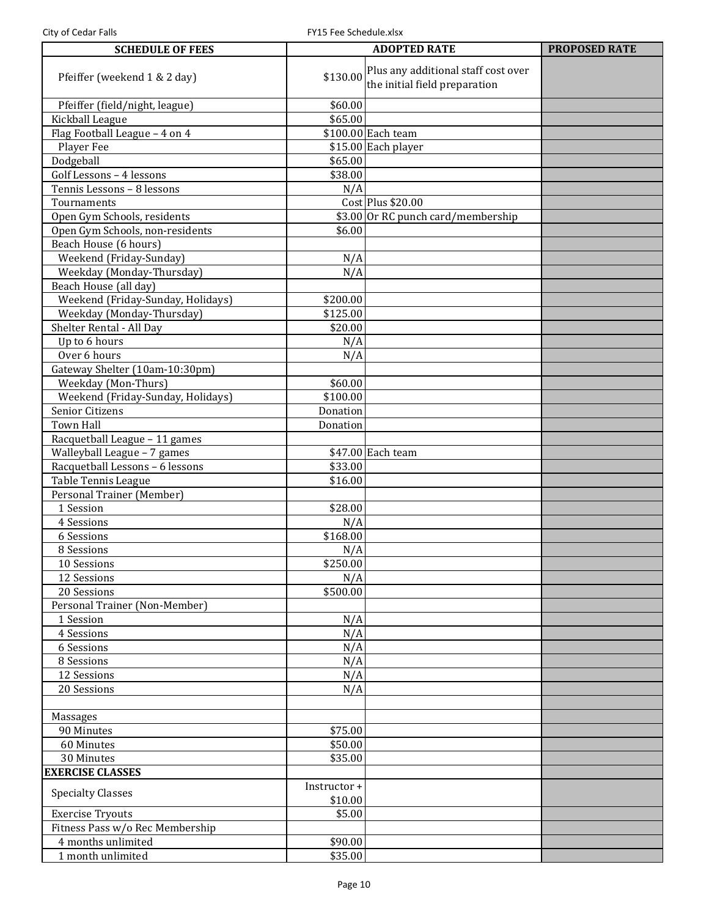| <b>SCHEDULE OF FEES</b>           | <b>ADOPTED RATE</b>     |                                                                               | <b>PROPOSED RATE</b> |
|-----------------------------------|-------------------------|-------------------------------------------------------------------------------|----------------------|
| Pfeiffer (weekend 1 & 2 day)      |                         | \$130.00 Plus any additional staff cost over<br>the initial field preparation |                      |
| Pfeiffer (field/night, league)    | \$60.00                 |                                                                               |                      |
| Kickball League                   | \$65.00                 |                                                                               |                      |
| Flag Football League - 4 on 4     |                         | \$100.00 Each team                                                            |                      |
| Player Fee                        |                         | \$15.00 Each player                                                           |                      |
| Dodgeball                         | \$65.00                 |                                                                               |                      |
| Golf Lessons - 4 lessons          | \$38.00                 |                                                                               |                      |
| Tennis Lessons - 8 lessons        | N/A                     |                                                                               |                      |
| Tournaments                       |                         | Cost Plus \$20.00                                                             |                      |
| Open Gym Schools, residents       |                         | \$3.00 Or RC punch card/membership                                            |                      |
| Open Gym Schools, non-residents   | \$6.00                  |                                                                               |                      |
| Beach House (6 hours)             |                         |                                                                               |                      |
| Weekend (Friday-Sunday)           | N/A                     |                                                                               |                      |
| Weekday (Monday-Thursday)         | N/A                     |                                                                               |                      |
| Beach House (all day)             |                         |                                                                               |                      |
| Weekend (Friday-Sunday, Holidays) | \$200.00                |                                                                               |                      |
| Weekday (Monday-Thursday)         | \$125.00                |                                                                               |                      |
| Shelter Rental - All Day          | \$20.00                 |                                                                               |                      |
| Up to 6 hours                     | N/A                     |                                                                               |                      |
| Over 6 hours                      | N/A                     |                                                                               |                      |
| Gateway Shelter (10am-10:30pm)    |                         |                                                                               |                      |
| Weekday (Mon-Thurs)               | \$60.00                 |                                                                               |                      |
| Weekend (Friday-Sunday, Holidays) | \$100.00                |                                                                               |                      |
| Senior Citizens                   | Donation                |                                                                               |                      |
| <b>Town Hall</b>                  | Donation                |                                                                               |                      |
| Racquetball League - 11 games     |                         |                                                                               |                      |
| Walleyball League - 7 games       |                         | \$47.00 Each team                                                             |                      |
| Racquetball Lessons - 6 lessons   | \$33.00                 |                                                                               |                      |
| Table Tennis League               | \$16.00                 |                                                                               |                      |
| Personal Trainer (Member)         |                         |                                                                               |                      |
| 1 Session                         | \$28.00                 |                                                                               |                      |
| 4 Sessions                        | N/A                     |                                                                               |                      |
| 6 Sessions                        | \$168.00                |                                                                               |                      |
| 8 Sessions                        | N/A                     |                                                                               |                      |
| 10 Sessions                       | \$250.00                |                                                                               |                      |
| 12 Sessions                       | N/A                     |                                                                               |                      |
| 20 Sessions                       | \$500.00                |                                                                               |                      |
| Personal Trainer (Non-Member)     |                         |                                                                               |                      |
| 1 Session                         | N/A                     |                                                                               |                      |
| 4 Sessions                        | N/A                     |                                                                               |                      |
| 6 Sessions                        | N/A                     |                                                                               |                      |
| 8 Sessions                        | N/A                     |                                                                               |                      |
| 12 Sessions                       | N/A                     |                                                                               |                      |
| 20 Sessions                       | N/A                     |                                                                               |                      |
|                                   |                         |                                                                               |                      |
| Massages                          |                         |                                                                               |                      |
| 90 Minutes                        | \$75.00                 |                                                                               |                      |
| 60 Minutes                        | \$50.00                 |                                                                               |                      |
| 30 Minutes                        | \$35.00                 |                                                                               |                      |
| <b>EXERCISE CLASSES</b>           |                         |                                                                               |                      |
| <b>Specialty Classes</b>          | Instructor +<br>\$10.00 |                                                                               |                      |
| <b>Exercise Tryouts</b>           | \$5.00                  |                                                                               |                      |
| Fitness Pass w/o Rec Membership   |                         |                                                                               |                      |
| 4 months unlimited                | \$90.00                 |                                                                               |                      |
| 1 month unlimited                 | \$35.00                 |                                                                               |                      |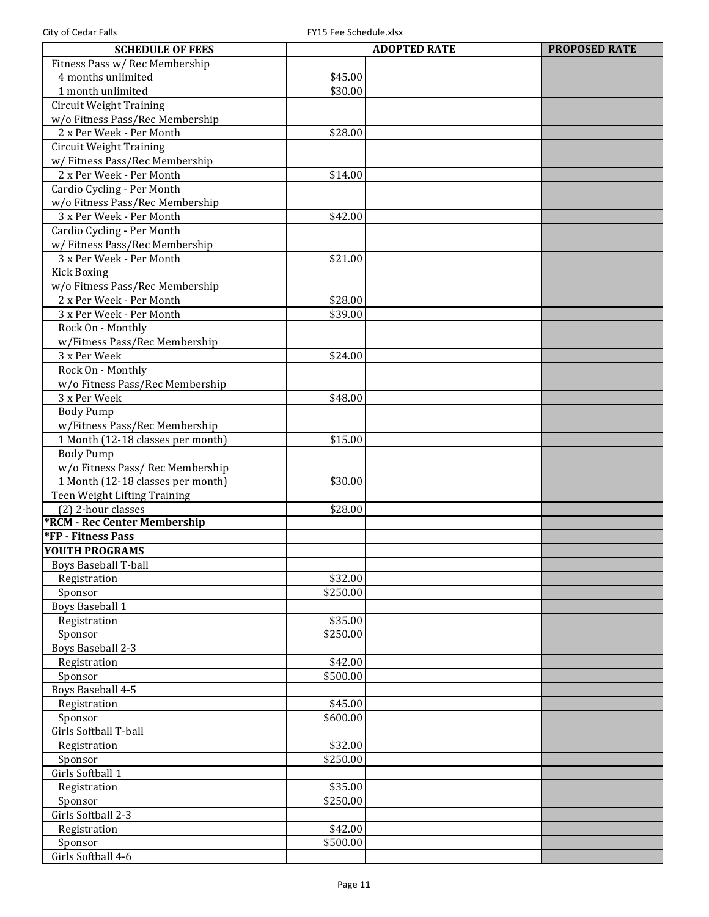| <b>SCHEDULE OF FEES</b>             | <b>ADOPTED RATE</b> | <b>PROPOSED RATE</b> |
|-------------------------------------|---------------------|----------------------|
| Fitness Pass w/ Rec Membership      |                     |                      |
| 4 months unlimited                  | \$45.00             |                      |
| 1 month unlimited                   | \$30.00             |                      |
| <b>Circuit Weight Training</b>      |                     |                      |
| w/o Fitness Pass/Rec Membership     |                     |                      |
| 2 x Per Week - Per Month            | \$28.00             |                      |
| <b>Circuit Weight Training</b>      |                     |                      |
| w/ Fitness Pass/Rec Membership      |                     |                      |
| 2 x Per Week - Per Month            | \$14.00             |                      |
| Cardio Cycling - Per Month          |                     |                      |
| w/o Fitness Pass/Rec Membership     |                     |                      |
| 3 x Per Week - Per Month            | \$42.00             |                      |
| Cardio Cycling - Per Month          |                     |                      |
| w/ Fitness Pass/Rec Membership      |                     |                      |
| 3 x Per Week - Per Month            | \$21.00             |                      |
| <b>Kick Boxing</b>                  |                     |                      |
| w/o Fitness Pass/Rec Membership     |                     |                      |
| 2 x Per Week - Per Month            | \$28.00             |                      |
| 3 x Per Week - Per Month            | \$39.00             |                      |
| Rock On - Monthly                   |                     |                      |
| w/Fitness Pass/Rec Membership       |                     |                      |
| 3 x Per Week                        | \$24.00             |                      |
| Rock On - Monthly                   |                     |                      |
| w/o Fitness Pass/Rec Membership     |                     |                      |
| 3 x Per Week                        | \$48.00             |                      |
| <b>Body Pump</b>                    |                     |                      |
| w/Fitness Pass/Rec Membership       |                     |                      |
| 1 Month (12-18 classes per month)   | \$15.00             |                      |
| <b>Body Pump</b>                    |                     |                      |
| w/o Fitness Pass/ Rec Membership    |                     |                      |
| 1 Month (12-18 classes per month)   | \$30.00             |                      |
| Teen Weight Lifting Training        |                     |                      |
| (2) 2-hour classes                  | \$28.00             |                      |
| <b>*RCM - Rec Center Membership</b> |                     |                      |
| <b>*FP - Fitness Pass</b>           |                     |                      |
| YOUTH PROGRAMS                      |                     |                      |
| <b>Boys Baseball T-ball</b>         |                     |                      |
| Registration                        | \$32.00             |                      |
| Sponsor                             | \$250.00            |                      |
| <b>Boys Baseball 1</b>              |                     |                      |
| Registration                        | \$35.00             |                      |
| Sponsor                             | \$250.00            |                      |
| Boys Baseball 2-3                   |                     |                      |
| Registration                        | \$42.00             |                      |
| Sponsor                             | \$500.00            |                      |
| Boys Baseball 4-5                   |                     |                      |
| Registration                        | \$45.00             |                      |
| Sponsor                             | \$600.00            |                      |
| Girls Softball T-ball               |                     |                      |
| Registration                        | \$32.00             |                      |
| Sponsor                             | \$250.00            |                      |
| Girls Softball 1                    |                     |                      |
| Registration                        | \$35.00             |                      |
| Sponsor                             | \$250.00            |                      |
| Girls Softball 2-3                  |                     |                      |
| Registration                        | \$42.00             |                      |
| Sponsor                             | \$500.00            |                      |
| Girls Softball 4-6                  |                     |                      |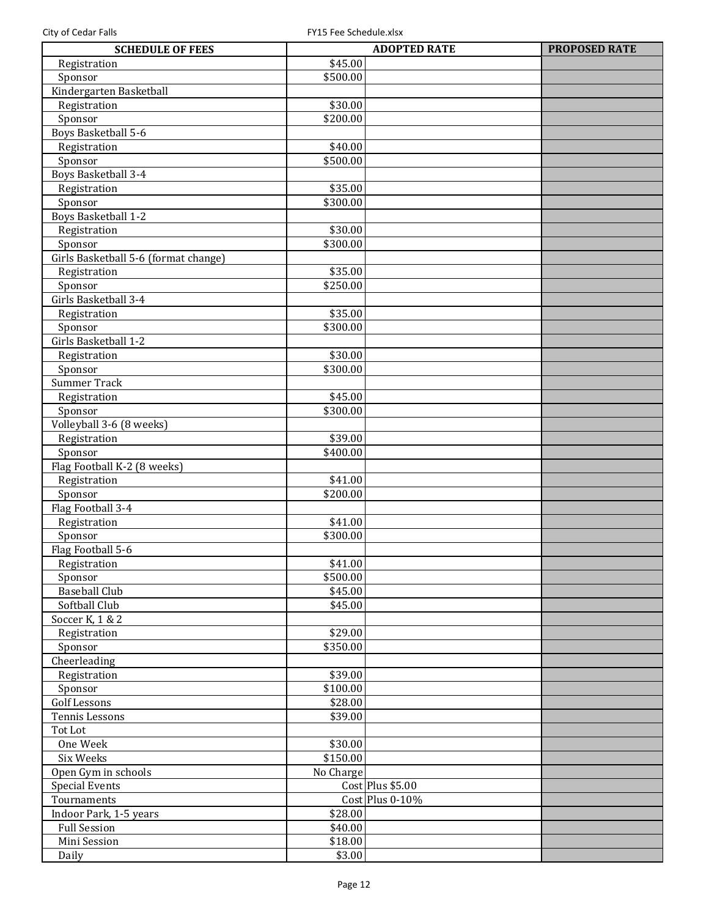| <b>SCHEDULE OF FEES</b>              |           | <b>ADOPTED RATE</b>                 | <b>PROPOSED RATE</b> |
|--------------------------------------|-----------|-------------------------------------|----------------------|
| Registration                         | \$45.00   |                                     |                      |
| Sponsor                              | \$500.00  |                                     |                      |
| Kindergarten Basketball              |           |                                     |                      |
| Registration                         | \$30.00   |                                     |                      |
| Sponsor                              | \$200.00  |                                     |                      |
| Boys Basketball 5-6                  |           |                                     |                      |
| Registration                         | \$40.00   |                                     |                      |
| Sponsor                              | \$500.00  |                                     |                      |
| Boys Basketball 3-4                  |           |                                     |                      |
| Registration                         | \$35.00   |                                     |                      |
| Sponsor                              | \$300.00  |                                     |                      |
| Boys Basketball 1-2                  |           |                                     |                      |
| Registration                         | \$30.00   |                                     |                      |
| Sponsor                              | \$300.00  |                                     |                      |
| Girls Basketball 5-6 (format change) |           |                                     |                      |
| Registration                         | \$35.00   |                                     |                      |
| Sponsor                              | \$250.00  |                                     |                      |
| Girls Basketball 3-4                 |           |                                     |                      |
| Registration                         | \$35.00   |                                     |                      |
| Sponsor                              | \$300.00  |                                     |                      |
| Girls Basketball 1-2                 |           |                                     |                      |
| Registration                         | \$30.00   |                                     |                      |
| Sponsor                              | \$300.00  |                                     |                      |
| Summer Track                         |           |                                     |                      |
| Registration                         | \$45.00   |                                     |                      |
| Sponsor                              | \$300.00  |                                     |                      |
|                                      |           |                                     |                      |
| Volleyball 3-6 (8 weeks)             | \$39.00   |                                     |                      |
| Registration                         | \$400.00  |                                     |                      |
| Sponsor                              |           |                                     |                      |
| Flag Football K-2 (8 weeks)          |           |                                     |                      |
| Registration                         | \$41.00   |                                     |                      |
| Sponsor                              | \$200.00  |                                     |                      |
| Flag Football 3-4                    |           |                                     |                      |
| Registration                         | \$41.00   |                                     |                      |
| Sponsor                              | \$300.00  |                                     |                      |
| Flag Football 5-6                    |           |                                     |                      |
| Registration                         | \$41.00   |                                     |                      |
| Sponsor                              | \$500.00  |                                     |                      |
| <b>Baseball Club</b>                 | \$45.00   |                                     |                      |
| Softball Club                        | \$45.00   |                                     |                      |
| Soccer K, 1 & 2                      |           |                                     |                      |
| Registration                         | \$29.00   |                                     |                      |
| Sponsor                              | \$350.00  |                                     |                      |
| Cheerleading                         |           |                                     |                      |
| Registration                         | \$39.00   |                                     |                      |
| Sponsor                              | \$100.00  |                                     |                      |
| <b>Golf Lessons</b>                  | \$28.00   |                                     |                      |
| Tennis Lessons                       | \$39.00   |                                     |                      |
| Tot Lot                              |           |                                     |                      |
| One Week                             | \$30.00   |                                     |                      |
| Six Weeks                            | \$150.00  |                                     |                      |
| Open Gym in schools                  | No Charge |                                     |                      |
| <b>Special Events</b>                |           | Cost Plus \$5.00                    |                      |
| Tournaments                          |           | $\overline{\text{Cost}}$ Plus 0-10% |                      |
| Indoor Park, 1-5 years               | \$28.00   |                                     |                      |
| <b>Full Session</b>                  | \$40.00   |                                     |                      |
| Mini Session                         | \$18.00   |                                     |                      |
| Daily                                | \$3.00    |                                     |                      |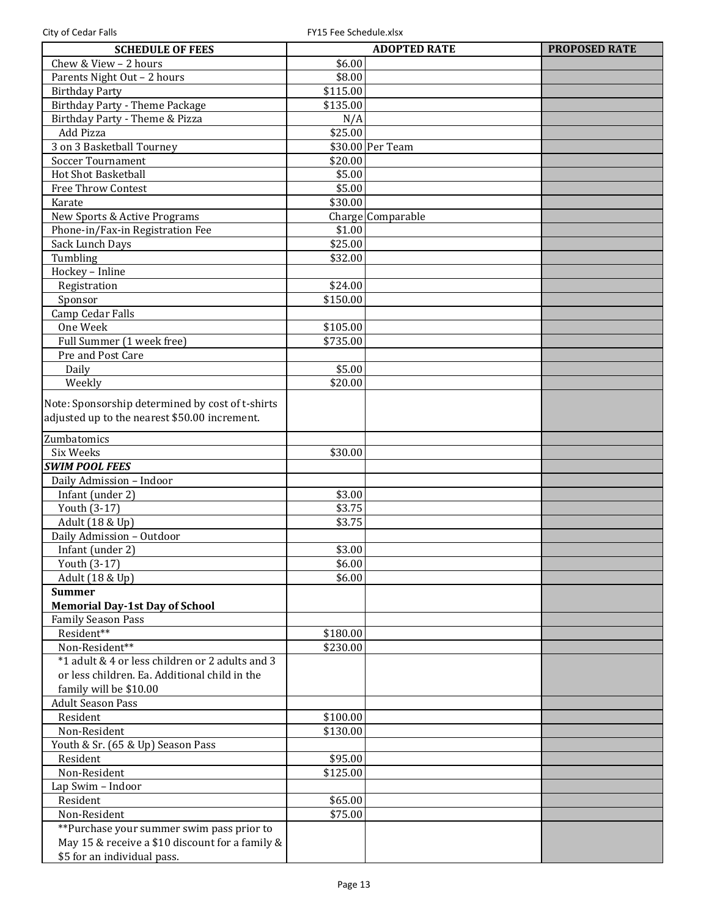| <b>SCHEDULE OF FEES</b>                            |          | <b>ADOPTED RATE</b> | <b>PROPOSED RATE</b> |
|----------------------------------------------------|----------|---------------------|----------------------|
| Chew & View - 2 hours                              | \$6.00   |                     |                      |
| Parents Night Out - 2 hours                        | \$8.00   |                     |                      |
| <b>Birthday Party</b>                              | \$115.00 |                     |                      |
| Birthday Party - Theme Package                     | \$135.00 |                     |                      |
| Birthday Party - Theme & Pizza                     | N/A      |                     |                      |
| Add Pizza                                          | \$25.00  |                     |                      |
| 3 on 3 Basketball Tourney                          |          | \$30.00 Per Team    |                      |
| <b>Soccer Tournament</b>                           | \$20.00  |                     |                      |
| Hot Shot Basketball                                | \$5.00   |                     |                      |
| <b>Free Throw Contest</b>                          | \$5.00   |                     |                      |
| Karate                                             | \$30.00  |                     |                      |
| New Sports & Active Programs                       |          | Charge Comparable   |                      |
| Phone-in/Fax-in Registration Fee                   | \$1.00   |                     |                      |
| Sack Lunch Days                                    | \$25.00  |                     |                      |
| Tumbling                                           | \$32.00  |                     |                      |
| Hockey - Inline                                    |          |                     |                      |
| Registration                                       | \$24.00  |                     |                      |
| Sponsor                                            | \$150.00 |                     |                      |
| Camp Cedar Falls                                   |          |                     |                      |
| One Week                                           | \$105.00 |                     |                      |
| Full Summer (1 week free)                          | \$735.00 |                     |                      |
| Pre and Post Care                                  |          |                     |                      |
| Daily                                              | \$5.00   |                     |                      |
| Weekly                                             | \$20.00  |                     |                      |
| Note: Sponsorship determined by cost of t-shirts   |          |                     |                      |
| adjusted up to the nearest \$50.00 increment.      |          |                     |                      |
|                                                    |          |                     |                      |
| Zumbatomics                                        |          |                     |                      |
| Six Weeks                                          | \$30.00  |                     |                      |
| <b>SWIM POOL FEES</b>                              |          |                     |                      |
| Daily Admission - Indoor                           |          |                     |                      |
| Infant (under 2)                                   | \$3.00   |                     |                      |
| Youth (3-17)                                       | \$3.75   |                     |                      |
| Adult (18 & Up)                                    | \$3.75   |                     |                      |
| Daily Admission - Outdoor                          |          |                     |                      |
| Infant (under 2)                                   | \$3.00   |                     |                      |
| Youth (3-17)                                       | \$6.00   |                     |                      |
| Adult (18 & Up)                                    | \$6.00   |                     |                      |
| <b>Summer</b>                                      |          |                     |                      |
| <b>Memorial Day-1st Day of School</b>              |          |                     |                      |
| <b>Family Season Pass</b><br>Resident**            |          |                     |                      |
| Non-Resident**                                     | \$180.00 |                     |                      |
| *1 adult & 4 or less children or 2 adults and 3    | \$230.00 |                     |                      |
|                                                    |          |                     |                      |
| or less children. Ea. Additional child in the      |          |                     |                      |
| family will be \$10.00<br><b>Adult Season Pass</b> |          |                     |                      |
| Resident                                           |          |                     |                      |
| Non-Resident                                       | \$100.00 |                     |                      |
|                                                    | \$130.00 |                     |                      |
| Youth & Sr. (65 & Up) Season Pass<br>Resident      | \$95.00  |                     |                      |
| Non-Resident                                       | \$125.00 |                     |                      |
| Lap Swim - Indoor                                  |          |                     |                      |
| Resident                                           | \$65.00  |                     |                      |
| Non-Resident                                       | \$75.00  |                     |                      |
| **Purchase your summer swim pass prior to          |          |                     |                      |
| May 15 & receive a \$10 discount for a family &    |          |                     |                      |
| \$5 for an individual pass.                        |          |                     |                      |
|                                                    |          |                     |                      |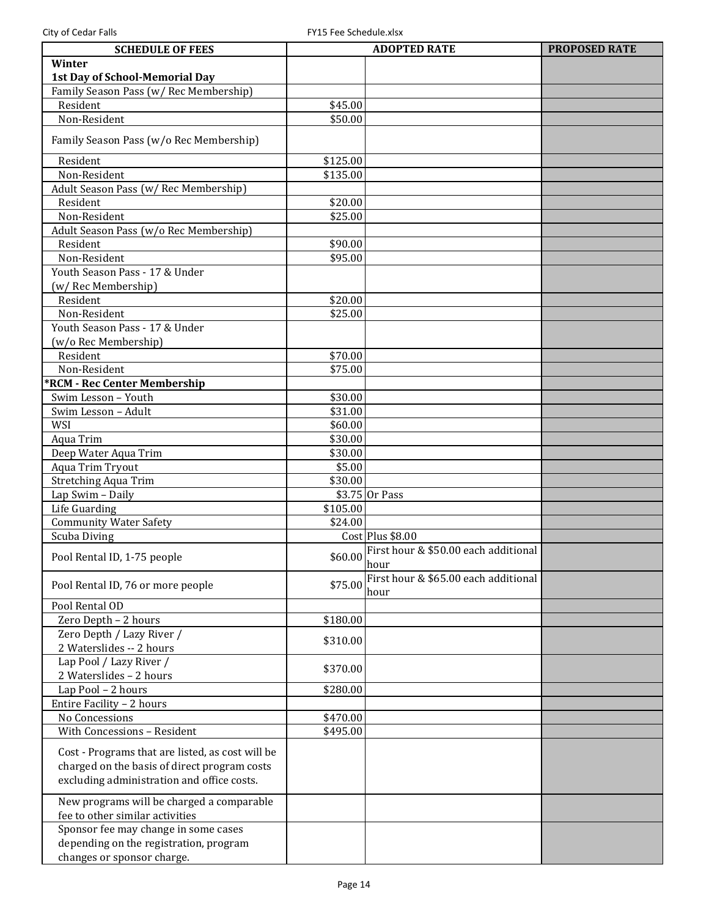| <b>SCHEDULE OF FEES</b>                          |          | <b>ADOPTED RATE</b>                                  | <b>PROPOSED RATE</b> |
|--------------------------------------------------|----------|------------------------------------------------------|----------------------|
| Winter                                           |          |                                                      |                      |
| 1st Day of School-Memorial Day                   |          |                                                      |                      |
| Family Season Pass (w/ Rec Membership)           |          |                                                      |                      |
| Resident                                         | \$45.00  |                                                      |                      |
| Non-Resident                                     | \$50.00  |                                                      |                      |
| Family Season Pass (w/o Rec Membership)          |          |                                                      |                      |
| Resident                                         | \$125.00 |                                                      |                      |
| Non-Resident                                     | \$135.00 |                                                      |                      |
| Adult Season Pass (w/ Rec Membership)            |          |                                                      |                      |
| Resident                                         | \$20.00  |                                                      |                      |
| Non-Resident                                     | \$25.00  |                                                      |                      |
| Adult Season Pass (w/o Rec Membership)           |          |                                                      |                      |
| Resident                                         | \$90.00  |                                                      |                      |
| Non-Resident                                     | \$95.00  |                                                      |                      |
| Youth Season Pass - 17 & Under                   |          |                                                      |                      |
| (w/ Rec Membership)                              |          |                                                      |                      |
| Resident                                         | \$20.00  |                                                      |                      |
| Non-Resident                                     | \$25.00  |                                                      |                      |
| Youth Season Pass - 17 & Under                   |          |                                                      |                      |
| (w/o Rec Membership)                             |          |                                                      |                      |
| Resident                                         | \$70.00  |                                                      |                      |
| Non-Resident                                     | \$75.00  |                                                      |                      |
| *RCM - Rec Center Membership                     |          |                                                      |                      |
| Swim Lesson - Youth                              | \$30.00  |                                                      |                      |
| Swim Lesson - Adult                              | \$31.00  |                                                      |                      |
| WSI                                              | \$60.00  |                                                      |                      |
| Aqua Trim                                        | \$30.00  |                                                      |                      |
| Deep Water Aqua Trim                             | \$30.00  |                                                      |                      |
| Aqua Trim Tryout                                 | \$5.00   |                                                      |                      |
| <b>Stretching Aqua Trim</b>                      | \$30.00  |                                                      |                      |
| Lap Swim - Daily                                 |          | $$3.75$ Or Pass                                      |                      |
| Life Guarding                                    | \$105.00 |                                                      |                      |
| <b>Community Water Safety</b>                    | \$24.00  |                                                      |                      |
| Scuba Diving                                     |          | Cost Plus \$8.00                                     |                      |
| Pool Rental ID, 1-75 people                      |          | \$60.00 First hour & \$50.00 each additional<br>hour |                      |
| Pool Rental ID, 76 or more people                | \$75.00  | First hour & \$65.00 each additional                 |                      |
| Pool Rental OD                                   |          | hour                                                 |                      |
| Zero Depth - 2 hours                             | \$180.00 |                                                      |                      |
| Zero Depth / Lazy River /                        |          |                                                      |                      |
| 2 Waterslides -- 2 hours                         | \$310.00 |                                                      |                      |
| Lap Pool / Lazy River /                          | \$370.00 |                                                      |                      |
| 2 Waterslides - 2 hours                          |          |                                                      |                      |
| Lap Pool - 2 hours                               | \$280.00 |                                                      |                      |
| Entire Facility - 2 hours                        |          |                                                      |                      |
| No Concessions                                   | \$470.00 |                                                      |                      |
| With Concessions - Resident                      | \$495.00 |                                                      |                      |
| Cost - Programs that are listed, as cost will be |          |                                                      |                      |
| charged on the basis of direct program costs     |          |                                                      |                      |
| excluding administration and office costs.       |          |                                                      |                      |
| New programs will be charged a comparable        |          |                                                      |                      |
| fee to other similar activities                  |          |                                                      |                      |
| Sponsor fee may change in some cases             |          |                                                      |                      |
| depending on the registration, program           |          |                                                      |                      |
| changes or sponsor charge.                       |          |                                                      |                      |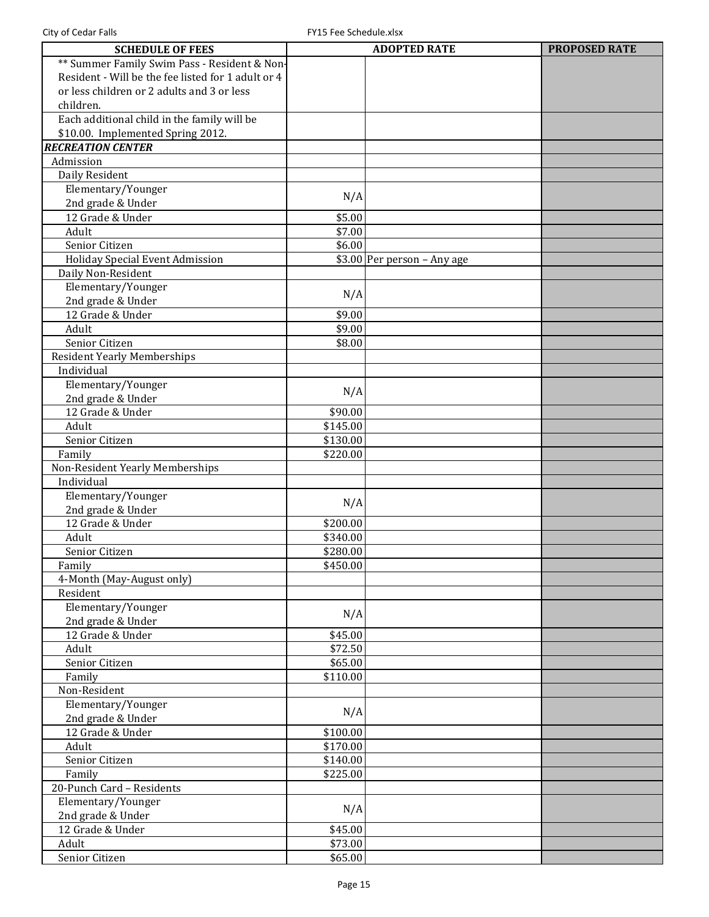| <b>SCHEDULE OF FEES</b>                            |          | <b>ADOPTED RATE</b>         | <b>PROPOSED RATE</b> |
|----------------------------------------------------|----------|-----------------------------|----------------------|
| ** Summer Family Swim Pass - Resident & Non-       |          |                             |                      |
| Resident - Will be the fee listed for 1 adult or 4 |          |                             |                      |
| or less children or 2 adults and 3 or less         |          |                             |                      |
| children.                                          |          |                             |                      |
| Each additional child in the family will be        |          |                             |                      |
| \$10.00. Implemented Spring 2012.                  |          |                             |                      |
| <b>RECREATION CENTER</b>                           |          |                             |                      |
| Admission                                          |          |                             |                      |
| Daily Resident                                     |          |                             |                      |
| Elementary/Younger                                 |          |                             |                      |
| 2nd grade & Under                                  | N/A      |                             |                      |
| 12 Grade & Under                                   | \$5.00   |                             |                      |
| Adult                                              | \$7.00   |                             |                      |
| Senior Citizen                                     | \$6.00   |                             |                      |
| <b>Holiday Special Event Admission</b>             |          | \$3.00 Per person - Any age |                      |
| Daily Non-Resident                                 |          |                             |                      |
| Elementary/Younger                                 |          |                             |                      |
| 2nd grade & Under                                  | N/A      |                             |                      |
| 12 Grade & Under                                   | \$9.00   |                             |                      |
| Adult                                              | \$9.00   |                             |                      |
| Senior Citizen                                     | \$8.00   |                             |                      |
| Resident Yearly Memberships                        |          |                             |                      |
| Individual                                         |          |                             |                      |
| Elementary/Younger                                 |          |                             |                      |
| 2nd grade & Under                                  | N/A      |                             |                      |
| 12 Grade & Under                                   | \$90.00  |                             |                      |
| Adult                                              | \$145.00 |                             |                      |
| Senior Citizen                                     | \$130.00 |                             |                      |
| Family                                             | \$220.00 |                             |                      |
| Non-Resident Yearly Memberships                    |          |                             |                      |
| Individual                                         |          |                             |                      |
| Elementary/Younger                                 |          |                             |                      |
| 2nd grade & Under                                  | N/A      |                             |                      |
| 12 Grade & Under                                   | \$200.00 |                             |                      |
| Adult                                              | \$340.00 |                             |                      |
| Senior Citizen                                     | \$280.00 |                             |                      |
| Family                                             | \$450.00 |                             |                      |
| 4-Month (May-August only)                          |          |                             |                      |
| Resident                                           |          |                             |                      |
| Elementary/Younger                                 | N/A      |                             |                      |
| 2nd grade & Under                                  |          |                             |                      |
| 12 Grade & Under                                   | \$45.00  |                             |                      |
| Adult                                              | \$72.50  |                             |                      |
| Senior Citizen                                     | \$65.00  |                             |                      |
| Family                                             | \$110.00 |                             |                      |
| Non-Resident                                       |          |                             |                      |
| Elementary/Younger                                 | N/A      |                             |                      |
| 2nd grade & Under                                  |          |                             |                      |
| 12 Grade & Under                                   | \$100.00 |                             |                      |
| Adult                                              | \$170.00 |                             |                      |
| Senior Citizen                                     | \$140.00 |                             |                      |
| Family                                             | \$225.00 |                             |                      |
| 20-Punch Card - Residents                          |          |                             |                      |
| Elementary/Younger                                 | N/A      |                             |                      |
| 2nd grade & Under                                  |          |                             |                      |
| 12 Grade & Under                                   | \$45.00  |                             |                      |
| Adult                                              | \$73.00  |                             |                      |
| Senior Citizen                                     | \$65.00  |                             |                      |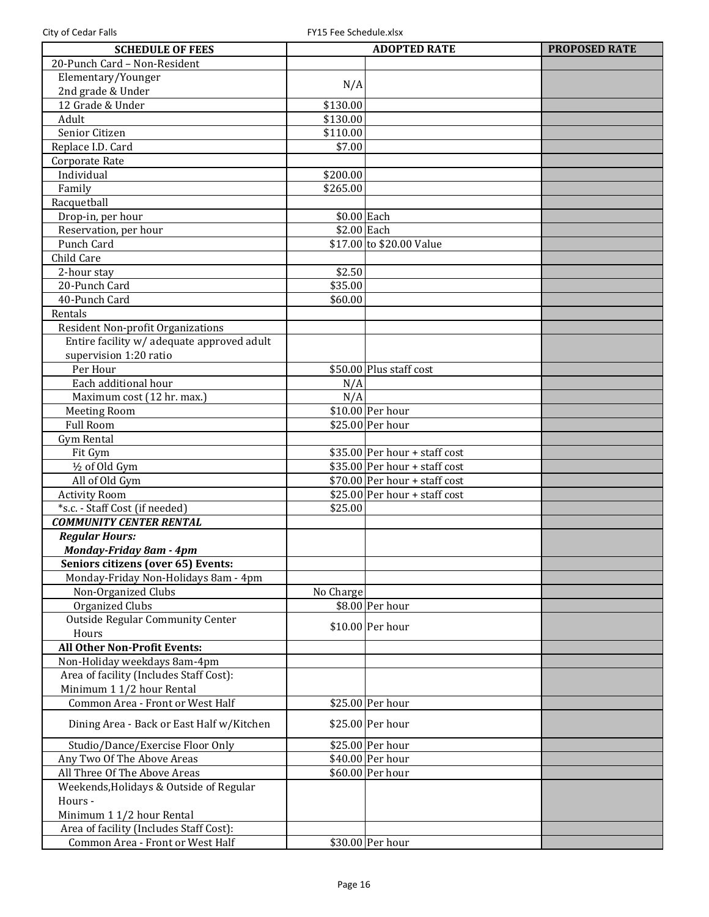| <b>SCHEDULE OF FEES</b>                    |                             | <b>ADOPTED RATE</b>            | <b>PROPOSED RATE</b> |
|--------------------------------------------|-----------------------------|--------------------------------|----------------------|
| 20-Punch Card - Non-Resident               |                             |                                |                      |
| Elementary/Younger                         |                             |                                |                      |
| 2nd grade & Under                          | N/A                         |                                |                      |
| 12 Grade & Under                           | \$130.00                    |                                |                      |
| Adult                                      | \$130.00                    |                                |                      |
| Senior Citizen                             | \$110.00                    |                                |                      |
| Replace I.D. Card                          | \$7.00                      |                                |                      |
| Corporate Rate                             |                             |                                |                      |
| Individual                                 | \$200.00                    |                                |                      |
| Family                                     | \$265.00                    |                                |                      |
| Racquetball                                |                             |                                |                      |
|                                            |                             |                                |                      |
| Drop-in, per hour                          | \$0.00 Each<br>$$2.00$ Each |                                |                      |
| Reservation, per hour                      |                             |                                |                      |
| Punch Card                                 |                             | \$17.00 to \$20.00 Value       |                      |
| Child Care                                 |                             |                                |                      |
| 2-hour stay                                | \$2.50                      |                                |                      |
| 20-Punch Card                              | \$35.00                     |                                |                      |
| 40-Punch Card                              | \$60.00                     |                                |                      |
| Rentals                                    |                             |                                |                      |
| Resident Non-profit Organizations          |                             |                                |                      |
| Entire facility w/ adequate approved adult |                             |                                |                      |
| supervision 1:20 ratio                     |                             |                                |                      |
| Per Hour                                   |                             | \$50.00 Plus staff cost        |                      |
| Each additional hour                       | N/A                         |                                |                      |
| Maximum cost (12 hr. max.)                 | N/A                         |                                |                      |
| <b>Meeting Room</b>                        |                             | \$10.00 Per hour               |                      |
| <b>Full Room</b>                           |                             | \$25.00 Per hour               |                      |
| <b>Gym Rental</b>                          |                             |                                |                      |
| Fit Gym                                    |                             | $$35.00$ Per hour + staff cost |                      |
| 1/2 of Old Gym                             |                             | $$35.00$ Per hour + staff cost |                      |
| All of Old Gym                             |                             | $$70.00$ Per hour + staff cost |                      |
| <b>Activity Room</b>                       |                             | $$25.00$ Per hour + staff cost |                      |
| *s.c. - Staff Cost (if needed)             | \$25.00                     |                                |                      |
| <b>COMMUNITY CENTER RENTAL</b>             |                             |                                |                      |
| <b>Regular Hours:</b>                      |                             |                                |                      |
| Monday-Friday 8am - 4pm                    |                             |                                |                      |
| Seniors citizens (over 65) Events:         |                             |                                |                      |
| Monday-Friday Non-Holidays 8am - 4pm       |                             |                                |                      |
| Non-Organized Clubs                        | No Charge                   |                                |                      |
| Organized Clubs                            |                             | \$8.00 Per hour                |                      |
| <b>Outside Regular Community Center</b>    |                             |                                |                      |
| Hours                                      |                             | \$10.00 Per hour               |                      |
| <b>All Other Non-Profit Events:</b>        |                             |                                |                      |
| Non-Holiday weekdays 8am-4pm               |                             |                                |                      |
| Area of facility (Includes Staff Cost):    |                             |                                |                      |
| Minimum 1 1/2 hour Rental                  |                             |                                |                      |
| Common Area - Front or West Half           |                             | \$25.00 Per hour               |                      |
|                                            |                             |                                |                      |
| Dining Area - Back or East Half w/Kitchen  |                             | \$25.00 Per hour               |                      |
| Studio/Dance/Exercise Floor Only           |                             | \$25.00 Per hour               |                      |
| Any Two Of The Above Areas                 |                             | \$40.00 Per hour               |                      |
| All Three Of The Above Areas               |                             | \$60.00 Per hour               |                      |
| Weekends, Holidays & Outside of Regular    |                             |                                |                      |
| Hours -                                    |                             |                                |                      |
| Minimum 1 1/2 hour Rental                  |                             |                                |                      |
| Area of facility (Includes Staff Cost):    |                             |                                |                      |
| Common Area - Front or West Half           |                             | \$30.00 Per hour               |                      |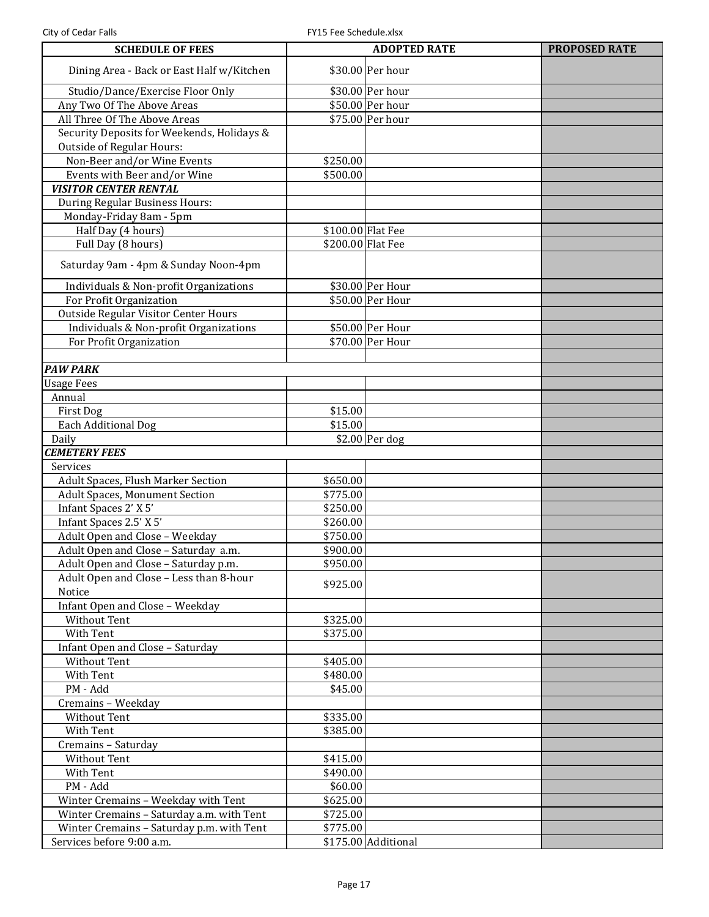| <b>SCHEDULE OF FEES</b>                    |                   | <b>ADOPTED RATE</b> | <b>PROPOSED RATE</b> |
|--------------------------------------------|-------------------|---------------------|----------------------|
| Dining Area - Back or East Half w/Kitchen  |                   | \$30.00 Per hour    |                      |
| Studio/Dance/Exercise Floor Only           |                   | \$30.00 Per hour    |                      |
| Any Two Of The Above Areas                 |                   | \$50.00 Per hour    |                      |
| All Three Of The Above Areas               |                   | \$75.00 Per hour    |                      |
| Security Deposits for Weekends, Holidays & |                   |                     |                      |
| <b>Outside of Regular Hours:</b>           |                   |                     |                      |
| Non-Beer and/or Wine Events                | \$250.00          |                     |                      |
| Events with Beer and/or Wine               | \$500.00          |                     |                      |
| <b>VISITOR CENTER RENTAL</b>               |                   |                     |                      |
| During Regular Business Hours:             |                   |                     |                      |
| Monday-Friday 8am - 5pm                    |                   |                     |                      |
| Half Day (4 hours)                         | \$100.00 Flat Fee |                     |                      |
| Full Day (8 hours)                         | \$200.00 Flat Fee |                     |                      |
| Saturday 9am - 4pm & Sunday Noon-4pm       |                   |                     |                      |
| Individuals & Non-profit Organizations     |                   | \$30.00 Per Hour    |                      |
| For Profit Organization                    |                   | \$50.00 Per Hour    |                      |
| Outside Regular Visitor Center Hours       |                   |                     |                      |
| Individuals & Non-profit Organizations     |                   | \$50.00 Per Hour    |                      |
| For Profit Organization                    |                   | \$70.00 Per Hour    |                      |
|                                            |                   |                     |                      |
| <b>PAW PARK</b>                            |                   |                     |                      |
| <b>Usage Fees</b>                          |                   |                     |                      |
| Annual                                     |                   |                     |                      |
| First Dog                                  | \$15.00           |                     |                      |
| Each Additional Dog                        | \$15.00           | $$2.00$ Per dog     |                      |
| Daily<br><b>CEMETERY FEES</b>              |                   |                     |                      |
| Services                                   |                   |                     |                      |
| Adult Spaces, Flush Marker Section         | \$650.00          |                     |                      |
| <b>Adult Spaces, Monument Section</b>      | \$775.00          |                     |                      |
| Infant Spaces 2' X 5'                      | \$250.00          |                     |                      |
| Infant Spaces 2.5' X 5'                    | \$260.00          |                     |                      |
| Adult Open and Close - Weekday             | \$750.00          |                     |                      |
| Adult Open and Close - Saturday a.m.       | \$900.00          |                     |                      |
| Adult Open and Close - Saturday p.m.       | \$950.00          |                     |                      |
| Adult Open and Close - Less than 8-hour    |                   |                     |                      |
| Notice                                     | \$925.00          |                     |                      |
| Infant Open and Close - Weekday            |                   |                     |                      |
| <b>Without Tent</b>                        | \$325.00          |                     |                      |
| With Tent                                  | \$375.00          |                     |                      |
| Infant Open and Close - Saturday           |                   |                     |                      |
| Without Tent                               | \$405.00          |                     |                      |
| With Tent                                  | \$480.00          |                     |                      |
| PM - Add                                   | \$45.00           |                     |                      |
| Cremains - Weekday                         |                   |                     |                      |
| Without Tent                               | \$335.00          |                     |                      |
| With Tent                                  | \$385.00          |                     |                      |
| Cremains - Saturday                        |                   |                     |                      |
| Without Tent                               | \$415.00          |                     |                      |
| With Tent                                  | \$490.00          |                     |                      |
| PM - Add                                   | \$60.00           |                     |                      |
| Winter Cremains - Weekday with Tent        | \$625.00          |                     |                      |
| Winter Cremains - Saturday a.m. with Tent  | \$725.00          |                     |                      |
| Winter Cremains - Saturday p.m. with Tent  | \$775.00          |                     |                      |
| Services before 9:00 a.m.                  |                   | \$175.00 Additional |                      |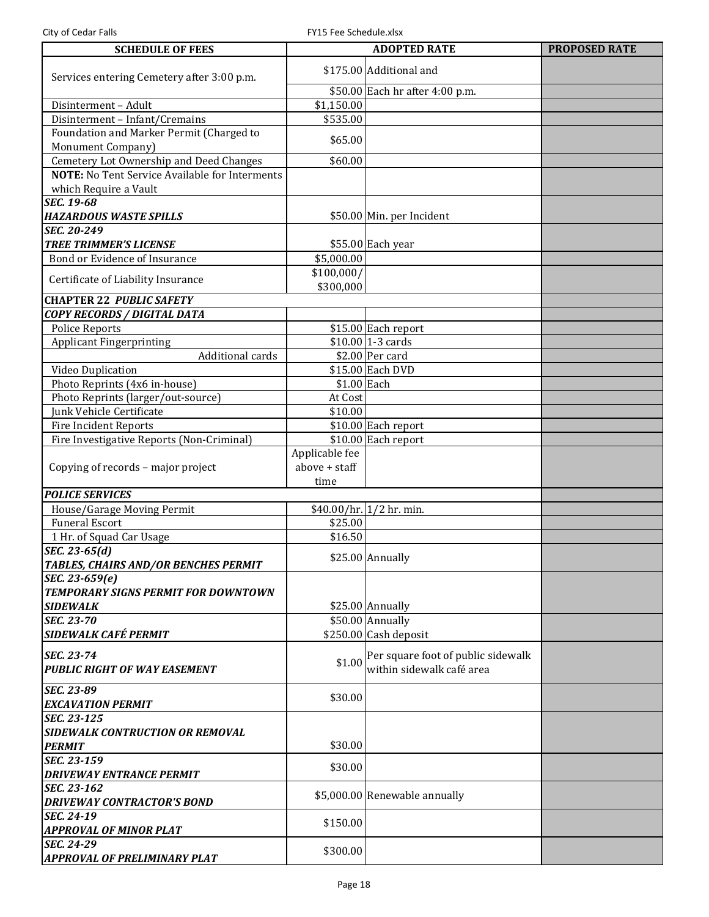| <b>SCHEDULE OF FEES</b>                               |                         | <b>ADOPTED RATE</b>                | <b>PROPOSED RATE</b> |
|-------------------------------------------------------|-------------------------|------------------------------------|----------------------|
| Services entering Cemetery after 3:00 p.m.            | \$175.00 Additional and |                                    |                      |
|                                                       |                         | \$50.00 Each hr after 4:00 p.m.    |                      |
| Disinterment - Adult                                  | \$1,150.00              |                                    |                      |
| Disinterment - Infant/Cremains                        | \$535.00                |                                    |                      |
| Foundation and Marker Permit (Charged to              |                         |                                    |                      |
| Monument Company)                                     | \$65.00                 |                                    |                      |
| Cemetery Lot Ownership and Deed Changes               | \$60.00                 |                                    |                      |
| <b>NOTE:</b> No Tent Service Available for Interments |                         |                                    |                      |
|                                                       |                         |                                    |                      |
| which Require a Vault                                 |                         |                                    |                      |
| <b>SEC. 19-68</b>                                     |                         |                                    |                      |
| <b>HAZARDOUS WASTE SPILLS</b>                         |                         | \$50.00 Min. per Incident          |                      |
| SEC. 20-249                                           |                         |                                    |                      |
| <b>TREE TRIMMER'S LICENSE</b>                         |                         | \$55.00 Each year                  |                      |
| Bond or Evidence of Insurance                         | \$5,000.00              |                                    |                      |
| Certificate of Liability Insurance                    | \$100,000/<br>\$300,000 |                                    |                      |
| <b>CHAPTER 22 PUBLIC SAFETY</b>                       |                         |                                    |                      |
| COPY RECORDS / DIGITAL DATA                           |                         |                                    |                      |
| <b>Police Reports</b>                                 |                         | \$15.00 Each report                |                      |
| <b>Applicant Fingerprinting</b>                       |                         | $$10.00$ 1-3 cards                 |                      |
| Additional cards                                      |                         | $$2.00$ Per card                   |                      |
|                                                       |                         |                                    |                      |
| Video Duplication                                     |                         | \$15.00 Each DVD                   |                      |
| Photo Reprints (4x6 in-house)                         | \$1.00 Each             |                                    |                      |
| Photo Reprints (larger/out-source)                    | At Cost                 |                                    |                      |
| Junk Vehicle Certificate                              | \$10.00                 |                                    |                      |
| Fire Incident Reports                                 |                         | $$10.00$ Each report               |                      |
| Fire Investigative Reports (Non-Criminal)             |                         | $$10.00$ Each report               |                      |
|                                                       | Applicable fee          |                                    |                      |
| Copying of records - major project                    | above + staff           |                                    |                      |
|                                                       | time                    |                                    |                      |
| <b>POLICE SERVICES</b>                                |                         |                                    |                      |
| House/Garage Moving Permit                            |                         | $$40.00/hr.$ 1/2 hr. min.          |                      |
| <b>Funeral Escort</b>                                 | \$25.00                 |                                    |                      |
| 1 Hr. of Squad Car Usage                              | \$16.50                 |                                    |                      |
| SEC. 23-65 $(d)$                                      |                         |                                    |                      |
| TABLES, CHAIRS AND/OR BENCHES PERMIT                  |                         | $$25.00$ Annually                  |                      |
| SEC. 23-659(e)                                        |                         |                                    |                      |
| TEMPORARY SIGNS PERMIT FOR DOWNTOWN                   |                         |                                    |                      |
| <b>SIDEWALK</b>                                       |                         | \$25.00 Annually                   |                      |
| <b>SEC. 23-70</b>                                     |                         | \$50.00 Annually                   |                      |
| <b>SIDEWALK CAFÉ PERMIT</b>                           |                         | $$250.00$ Cash deposit             |                      |
|                                                       |                         |                                    |                      |
| SEC. 23-74                                            | \$1.00                  | Per square foot of public sidewalk |                      |
| <b>PUBLIC RIGHT OF WAY EASEMENT</b>                   |                         | within sidewalk café area          |                      |
| <b>SEC. 23-89</b>                                     |                         |                                    |                      |
|                                                       | \$30.00                 |                                    |                      |
| <b>EXCAVATION PERMIT</b>                              |                         |                                    |                      |
| <b>SEC. 23-125</b>                                    |                         |                                    |                      |
| <b>SIDEWALK CONTRUCTION OR REMOVAL</b>                |                         |                                    |                      |
| <b>PERMIT</b>                                         | \$30.00                 |                                    |                      |
| SEC. 23-159                                           | \$30.00                 |                                    |                      |
| <b>DRIVEWAY ENTRANCE PERMIT</b>                       |                         |                                    |                      |
| SEC. 23-162                                           |                         | \$5,000.00 Renewable annually      |                      |
| <b>DRIVEWAY CONTRACTOR'S BOND</b>                     |                         |                                    |                      |
| <b>SEC. 24-19</b>                                     | \$150.00                |                                    |                      |
| <b>APPROVAL OF MINOR PLAT</b>                         |                         |                                    |                      |
| <b>SEC. 24-29</b>                                     |                         |                                    |                      |
| <b>APPROVAL OF PRELIMINARY PLAT</b>                   | \$300.00                |                                    |                      |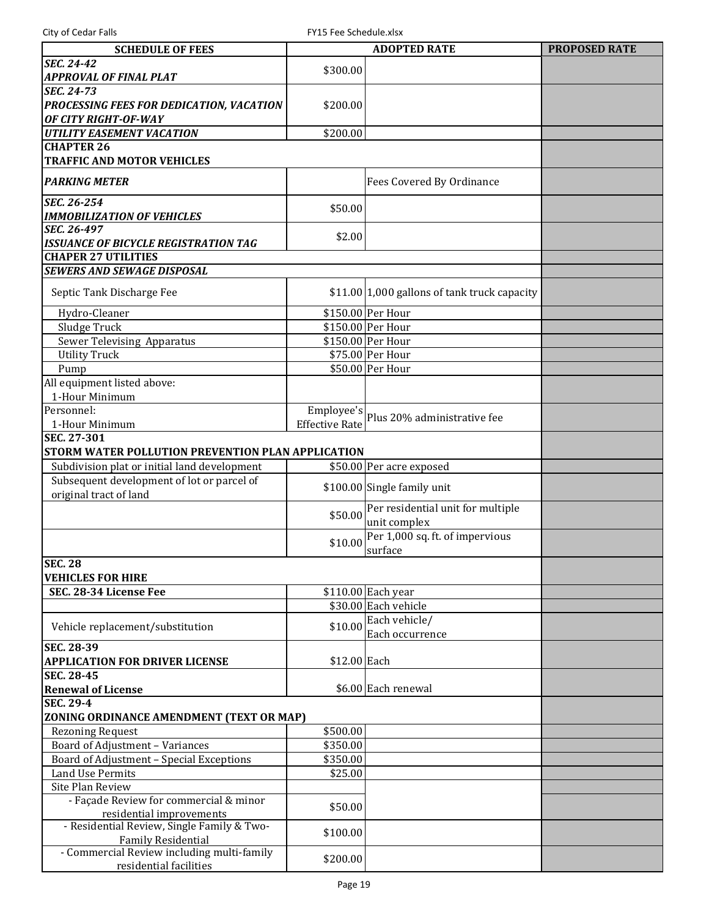| <b>SCHEDULE OF FEES</b>                           |                       | <b>ADOPTED RATE</b>                                            | <b>PROPOSED RATE</b> |
|---------------------------------------------------|-----------------------|----------------------------------------------------------------|----------------------|
| <b>SEC. 24-42</b>                                 | \$300.00              |                                                                |                      |
| <b>APPROVAL OF FINAL PLAT</b>                     |                       |                                                                |                      |
| <b>SEC. 24-73</b>                                 |                       |                                                                |                      |
| PROCESSING FEES FOR DEDICATION, VACATION          | \$200.00              |                                                                |                      |
| OF CITY RIGHT-OF-WAY                              |                       |                                                                |                      |
| <b>UTILITY EASEMENT VACATION</b>                  | \$200.00              |                                                                |                      |
| <b>CHAPTER 26</b>                                 |                       |                                                                |                      |
| <b>TRAFFIC AND MOTOR VEHICLES</b>                 |                       |                                                                |                      |
|                                                   |                       |                                                                |                      |
| <b>PARKING METER</b>                              |                       | Fees Covered By Ordinance                                      |                      |
| SEC. 26-254                                       |                       |                                                                |                      |
| <b>IMMOBILIZATION OF VEHICLES</b>                 | \$50.00               |                                                                |                      |
| SEC. 26-497                                       |                       |                                                                |                      |
| <b>ISSUANCE OF BICYCLE REGISTRATION TAG</b>       | \$2.00                |                                                                |                      |
| <b>CHAPER 27 UTILITIES</b>                        |                       |                                                                |                      |
| <b>SEWERS AND SEWAGE DISPOSAL</b>                 |                       |                                                                |                      |
|                                                   |                       |                                                                |                      |
| Septic Tank Discharge Fee                         |                       | $$11.00 1,000$ gallons of tank truck capacity                  |                      |
| Hydro-Cleaner                                     |                       | \$150.00 Per Hour                                              |                      |
| Sludge Truck                                      |                       | \$150.00 Per Hour                                              |                      |
| Sewer Televising Apparatus                        |                       | \$150.00 Per Hour                                              |                      |
| <b>Utility Truck</b>                              |                       | \$75.00 Per Hour                                               |                      |
| Pump                                              |                       | \$50.00 Per Hour                                               |                      |
| All equipment listed above:                       |                       |                                                                |                      |
| 1-Hour Minimum                                    |                       |                                                                |                      |
| Personnel:                                        |                       |                                                                |                      |
| 1-Hour Minimum                                    | <b>Effective Rate</b> | $\boxed{\text{Employee's}}\text{Plus 20\% administrative fee}$ |                      |
| SEC. 27-301                                       |                       |                                                                |                      |
| STORM WATER POLLUTION PREVENTION PLAN APPLICATION |                       |                                                                |                      |
| Subdivision plat or initial land development      |                       | \$50.00 Per acre exposed                                       |                      |
| Subsequent development of lot or parcel of        |                       |                                                                |                      |
| original tract of land                            |                       | \$100.00 Single family unit                                    |                      |
|                                                   |                       | Per residential unit for multiple                              |                      |
|                                                   | \$50.00               | unit complex                                                   |                      |
|                                                   |                       | Per 1,000 sq. ft. of impervious                                |                      |
|                                                   | \$10.00               | surface                                                        |                      |
| <b>SEC. 28</b>                                    |                       |                                                                |                      |
| <b>VEHICLES FOR HIRE</b>                          |                       |                                                                |                      |
| SEC. 28-34 License Fee                            |                       | \$110.00 Each year                                             |                      |
|                                                   |                       | \$30.00 Each vehicle                                           |                      |
|                                                   |                       | Each vehicle/                                                  |                      |
| Vehicle replacement/substitution                  | \$10.00               | Each occurrence                                                |                      |
| <b>SEC. 28-39</b>                                 |                       |                                                                |                      |
| <b>APPLICATION FOR DRIVER LICENSE</b>             | \$12.00 Each          |                                                                |                      |
| <b>SEC. 28-45</b>                                 |                       |                                                                |                      |
| <b>Renewal of License</b>                         |                       | \$6.00 Each renewal                                            |                      |
| <b>SEC. 29-4</b>                                  |                       |                                                                |                      |
| ZONING ORDINANCE AMENDMENT (TEXT OR MAP)          |                       |                                                                |                      |
| <b>Rezoning Request</b>                           | \$500.00              |                                                                |                      |
| Board of Adjustment - Variances                   | \$350.00              |                                                                |                      |
| Board of Adjustment - Special Exceptions          | \$350.00              |                                                                |                      |
| Land Use Permits                                  | \$25.00               |                                                                |                      |
| Site Plan Review                                  |                       |                                                                |                      |
| - Façade Review for commercial & minor            | \$50.00               |                                                                |                      |
| residential improvements                          |                       |                                                                |                      |
| - Residential Review, Single Family & Two-        | \$100.00              |                                                                |                      |
| <b>Family Residential</b>                         |                       |                                                                |                      |
| - Commercial Review including multi-family        | \$200.00              |                                                                |                      |
| residential facilities                            |                       |                                                                |                      |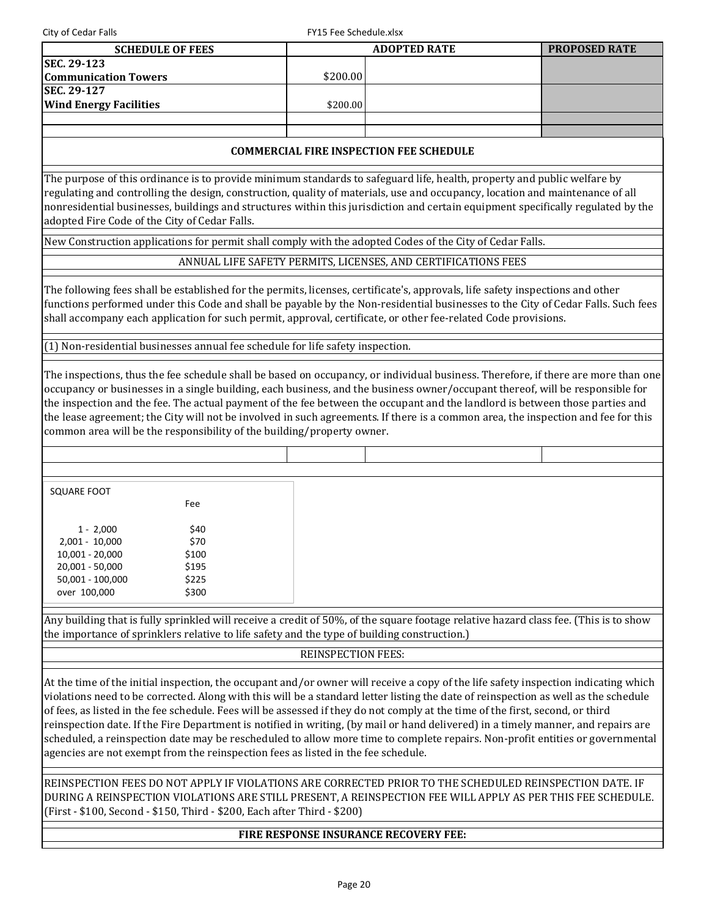City of Cedar Falls Full City of Cedar Falls

| <b>SCHEDULE OF FEES</b>       |          | <b>ADOPTED RATE</b> | <b>PROPOSED RATE</b> |
|-------------------------------|----------|---------------------|----------------------|
| <b>SEC. 29-123</b>            |          |                     |                      |
| <b>Communication Towers</b>   | \$200.00 |                     |                      |
| <b>SEC. 29-127</b>            |          |                     |                      |
| <b>Wind Energy Facilities</b> | \$200.00 |                     |                      |
|                               |          |                     |                      |
|                               |          |                     |                      |

## **COMMERCIAL FIRE INSPECTION FEE SCHEDULE**

The purpose of this ordinance is to provide minimum standards to safeguard life, health, property and public welfare by regulating and controlling the design, construction, quality of materials, use and occupancy, location and maintenance of all nonresidential businesses, buildings and structures within this jurisdiction and certain equipment specifically regulated by the adopted Fire Code of the City of Cedar Falls.

New Construction applications for permit shall comply with the adopted Codes of the City of Cedar Falls.

ANNUAL LIFE SAFETY PERMITS, LICENSES, AND CERTIFICATIONS FEES

The following fees shall be established for the permits, licenses, certificate's, approvals, life safety inspections and other functions performed under this Code and shall be payable by the Non-residential businesses to the City of Cedar Falls. Such fees shall accompany each application for such permit, approval, certificate, or other fee-related Code provisions.

(1) Non-residential businesses annual fee schedule for life safety inspection.

The inspections, thus the fee schedule shall be based on occupancy, or individual business. Therefore, if there are more than one occupancy or businesses in a single building, each business, and the business owner/occupant thereof, will be responsible for the inspection and the fee. The actual payment of the fee between the occupant and the landlord is between those parties and the lease agreement; the City will not be involved in such agreements. If there is a common area, the inspection and fee for this common area will be the responsibility of the building/property owner.

| SQUARE FOOT      | Fee   |  |  |
|------------------|-------|--|--|
|                  |       |  |  |
| $1 - 2,000$      | \$40  |  |  |
| 2,001 - 10,000   | \$70  |  |  |
| 10,001 - 20,000  | \$100 |  |  |
| 20,001 - 50,000  | \$195 |  |  |
| 50,001 - 100,000 | \$225 |  |  |
| over 100,000     | \$300 |  |  |

Any building that is fully sprinkled will receive a credit of 50%, of the square footage relative hazard class fee. (This is to show the importance of sprinklers relative to life safety and the type of building construction.)

## REINSPECTION FEES:

At the time of the initial inspection, the occupant and/or owner will receive a copy of the life safety inspection indicating which violations need to be corrected. Along with this will be a standard letter listing the date of reinspection as well as the schedule of fees, as listed in the fee schedule. Fees will be assessed if they do not comply at the time of the first, second, or third reinspection date. If the Fire Department is notified in writing, (by mail or hand delivered) in a timely manner, and repairs are scheduled, a reinspection date may be rescheduled to allow more time to complete repairs. Non-profit entities or governmental agencies are not exempt from the reinspection fees as listed in the fee schedule.

REINSPECTION FEES DO NOT APPLY IF VIOLATIONS ARE CORRECTED PRIOR TO THE SCHEDULED REINSPECTION DATE. IF DURING A REINSPECTION VIOLATIONS ARE STILL PRESENT, A REINSPECTION FEE WILL APPLY AS PER THIS FEE SCHEDULE. (First - \$100, Second - \$150, Third - \$200, Each after Third - \$200)

## **FIRE RESPONSE INSURANCE RECOVERY FEE:**